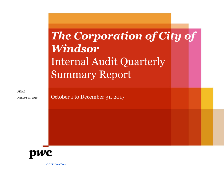# The Corporation of City of **Windsor Internal Audit Quarterly Summary Report**

**FINAL** 

January 11, 2017

October 1 to December 31, 2017



[www.pwc.com/ca](http://www.pwc.com/ca)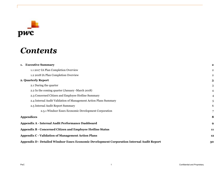

| $\boldsymbol{2}$ |
|------------------|
| $\overline{2}$   |
| $\overline{2}$   |
| 3                |
| 3                |
| $\overline{4}$   |
| 4                |
| 5                |
| 6                |
| 7                |
| 8                |
| 9                |
| 11               |
| 12               |
| 30               |
|                  |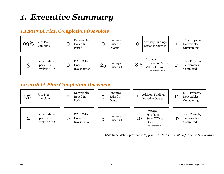## <span id="page-2-0"></span>*1. Executive Summary*

## <span id="page-2-1"></span>*1.1 2017 IA Plan Completion Overview*



## <span id="page-2-2"></span>*1.2 2018 IA Plan Completion Overview*



(Additional details provided in '*Appendix A - Internal Audit Performance Dashboard*')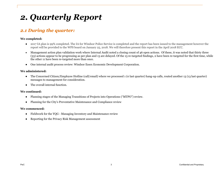## <span id="page-3-0"></span>*2. Quarterly Report*

## <span id="page-3-1"></span>*2.1 During the quarter:*

#### **We completed:**

- 2017 IA plan is 99% completed. The IA for Windsor Police Service is completed and the report has been issued to the management however the report will be provided to the WPS board on January 25, 2018. We will therefore present this report in the April 2018 ECC.
- Management action plan validation work where Internal Audit noted a closing count of 46 open actions. Of these, it was noted that thirty three (33) actions appear to be progressing as per plan and 13 are delayed. Of the 13 re-targeted findings, 2 have been re-targeted for the first time, while the other 11 have been re-targeted more than once.
- One internal audit process review: Windsor Essex Economic Development Corporation.

#### **We administered:**

- The Concerned Citizen/Employee Hotline (call/email) where we processed 1 (0 last quarter) hang-up calls, routed another 13 (13 last quarter) messages to management for consideration.
- The overall internal function.

#### **We continued:**

- Planning stages of the Managing Transitions of Projects into Operations ("MTPO") review.
- Planning for the City's Preventative Maintenance and Compliance review

#### **We commenced:**

- Fieldwork for the YQG Managing Inventory and Maintenance review
- Reporting for the Privacy Risk Management assessment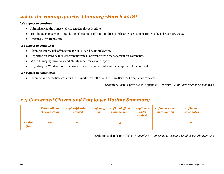### <span id="page-4-0"></span>*2.2 In the coming quarter (January -March 2018)*

#### **We expect to continue:**

- Administering the Concerned Citizen/Employee Hotline.
- To validate management's resolution of past internal audit findings for those expected to be resolved by February 28, 2018.
- Ongoing 2017-18 projects.

#### **We expect to complete:**

- Planning stages/kick off meeting for MTPO and begin fieldwork.
- Reporting for Privacy Risk Assessment which is currently with management for comments.
- YQG's Managing Inventory and Maintenance review and report.
- Reporting for Windsor Police Services review (this is currently with management for comments)

#### **We expect to commence:**

● Planning and some fieldwork for the Property Tax Billing and the Fire Services Compliance reviews.

(Additional details provided in '*Appendix A - Internal Audit Performance Dashboard*')

### <span id="page-4-1"></span>*2.3 Concerned Citizen and Employee Hotline Summary*

|                             | <b>Voicemail box</b><br>checked daily | # of notifications<br>received | # of hang<br>ups | # of handoffs to<br>management | # of items<br>under<br>analysis | # of items under<br>investigation | # of items<br>investigated |
|-----------------------------|---------------------------------------|--------------------------------|------------------|--------------------------------|---------------------------------|-----------------------------------|----------------------------|
| <b>In the</b><br><b>Qtr</b> | <b>Yes</b>                            | 13                             |                  | 13                             |                                 |                                   | o                          |

(Additional details provided in *'Appendix B - Concerned Citizen and Employee Hotline Status'*)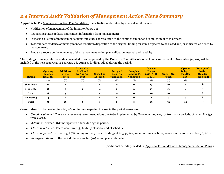### <span id="page-5-0"></span>*2.4 Internal Audit Validation of Management Action Plans Summary*

**Approach:** For Management Action Plan Validation, the activities undertaken by internal audit included:

- Notification of management of the intent to follow up;
- Requesting status updates and contact information from management;
- Preparing a listing of management actions and status of resolution at the commencement and completion of each project;
- Test/validate evidence of management's resolution/disposition of the original finding for items expected to be closed and/or indicated as closed by management;
- Prepare a report on the outcomes of the management action plan validation internal audit activity.

The findings from any internal audits presented to and approved by the Executive Committee of Council on or subsequent to November 30, 2017 will be included in the next report (as of February 28, 2018) as findings added during the period.

| <b>Rating</b>    | <b>Opening</b><br><b>Balance</b><br>(May31) | <b>Additions</b><br>in the<br><b>Period</b> | <b>Expected to</b><br><b>Be Closed</b><br>by Nov $30,$<br>2017 | <b>Closed by</b><br>IA (sec $7)$ ) | <b>Accepted</b><br><b>Risk (No</b><br><b>Validation</b> ) | <b>Complete</b><br><b>Pending IA</b><br><b>Validation</b> | Open at<br><b>Nov 30,</b><br>$2017(A+B-$<br>$D-E-F$ | $Open - On$<br>track | Open &<br><b>Delayed</b><br>(see Sec<br>485) | <b>Retargeted</b><br>in the<br><b>Quarter</b><br>(see Sec 4) |
|------------------|---------------------------------------------|---------------------------------------------|----------------------------------------------------------------|------------------------------------|-----------------------------------------------------------|-----------------------------------------------------------|-----------------------------------------------------|----------------------|----------------------------------------------|--------------------------------------------------------------|
|                  | (A)                                         | (B)                                         | (C)                                                            | (D)                                | (E)                                                       | (F)                                                       | (G)                                                 | (H)                  | (I)                                          |                                                              |
| Significant      | 10                                          | 8                                           | 3                                                              |                                    | $\mathbf{o}$                                              | $\mathbf{o}$                                              | 17                                                  | 10                   | 6                                            | 6                                                            |
| Moderate         | 16                                          | 5                                           | $\mathbf{2}$                                                   | $\boldsymbol{4}$                   | $\mathbf{o}$                                              | $\mathbf{o}$                                              | 17                                                  | 13                   |                                              | 3                                                            |
| Low              | 8                                           | 3                                           | $\mathbf{o}$                                                   |                                    | $\mathbf{o}$                                              | $\mathbf{o}$                                              | 10                                                  | 10                   | $\mathbf{o}$                                 | $\mathbf{o}$                                                 |
| <b>No Rating</b> | 4                                           | $\mathbf{o}$                                | $\mathbf{2}$                                                   | $\mathbf{2}$                       | $\mathbf{o}$                                              | $\mathbf{o}$                                              | $\mathbf{2}$                                        | $\mathbf{o}$         | 3                                            |                                                              |
| <b>Total</b>     | 38                                          | 16                                          |                                                                | 8                                  | $\mathbf{o}$                                              | $\mathbf{o}$                                              | 46                                                  | 33                   | 13                                           | 10                                                           |

**Conclusion:** In the quarter, in total, 71% of findings expected to close in the period were closed.

- *Closed as planned*: There were seven (7) recommendations due to be implemented by November 30, 2017, or from prior periods, of which five (5) were closed.
- *Additions*: Sixteen (16) findings were added during the period.
- *Closed in advance:* There were three (3) findings closed ahead of schedule.
- *Closed in period:* In total, eight (8) findings of the 38 open findings at Aug 31, 2017 or subordinate actions, were closed as of November 30, 2017.
- *Retargeted Items:* In the period, there were ten (10) action plans retargeted.

(Additional details provided in 'Appendix C - Validation of Management Action Plans')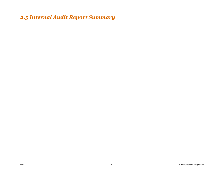<span id="page-6-0"></span>*2.5 Internal Audit Report Summary*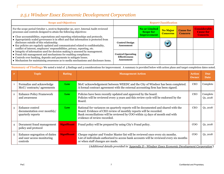### <span id="page-7-0"></span>*2.5.1 Windsor Essex Economic Development Corporation*

| <b>Scope and Objectives</b>                                                                                                                                                                                                                                                                                   | <b>Report Classification</b>                                          |                                                         |                                    |                                    |                                                           |  |
|---------------------------------------------------------------------------------------------------------------------------------------------------------------------------------------------------------------------------------------------------------------------------------------------------------------|-----------------------------------------------------------------------|---------------------------------------------------------|------------------------------------|------------------------------------|-----------------------------------------------------------|--|
| For the scope period October 1, 2016 to September 30, 2017, Internal Audit reviewed<br>processes and controls designed to attain the following objectives:<br>• Clear accountabilities, expectations and reporting relationships and protocols.                                                               |                                                                       | No or LImited<br><b>Scope for</b><br><b>Improvement</b> | <b>No Major</b><br><b>Concerns</b> | <b>Cause for</b><br><b>Concern</b> | <b>Considerable</b><br><b>Cause for</b><br><b>Concern</b> |  |
| • Appropriately scaled governance is in effect and that information is protected from<br>disclosure outside of this relationship.<br>• Key policies are regularly updated and communicated related to confidentiality,<br>conflict of interest, employees' responsibilities, privacy, reporting, etc.         | <b>Control Design</b><br><b>Assessment</b>                            |                                                         |                                    |                                    |                                                           |  |
| • Integrity of information used for decision making is assessed by management.<br>• Fraud risk management and mechanisms for enabling compliance.<br>• Controls over banking, deposits and payments to mitigate losses.<br>• Mechanism for maintaining awareness as to media mechanisms and disclosure items. | <b>Control Operating</b><br><b>Effectiveness</b><br><b>Assessment</b> |                                                         |                                    |                                    |                                                           |  |

**Summary of Findings** We noted a total of 5 findings and 3 considerations for improvement. A summary is provided below with action plans and target completion dates noted.

| #              | <b>Topic</b>                                                            | <b>Rating</b>      | <b>Management Action</b>                                                                                                                                                                                                                                                  | <b>Action</b><br><b>Owner</b> | <b>Due</b><br><b>Date</b> |
|----------------|-------------------------------------------------------------------------|--------------------|---------------------------------------------------------------------------------------------------------------------------------------------------------------------------------------------------------------------------------------------------------------------------|-------------------------------|---------------------------|
|                | Formalize and acknowledge<br>MoU/ contracts/ agreements                 | Low                | MoU acknowledgement between WEEDC and the City of Windsor has been completed.<br>A formal contract agreement with the external accounting firm has been signed.                                                                                                           | <b>CEO</b>                    | Complete                  |
| $\overline{2}$ | <b>Enhance Policy Framework</b><br>and awareness                        | Low                | Policies have been recently updated and approved by the board.<br>Policies will be reviewed every 3 years and this review cycle will be endorsed by the<br>Board.                                                                                                         | <b>CEO</b>                    | Complete<br>Q1, 2018      |
| 3              | Enhance control<br>documentation over monthly/<br>quarterly reports     | Low                | Rational for variances on quarterly reports will be documented and shared with the<br>Board. Evidence of CEO review of monthly reports will be recorded.<br>Bank reconciliations will be reviewed by COO within 15 days of month end with<br>evidence of review recorded. | <b>CEO</b>                    | $Q_1$ , 2018              |
| 4              | Document fraud management<br>policy and protocol                        | <b>Significant</b> | Fraud policy will be prepared by using City's Fraud policy.                                                                                                                                                                                                               | $\rm{COO}$                    | $Q_1$ , 2018              |
| 5              | Enhance segregation of duties<br>and user access monitoring<br>controls | <b>Significant</b> | Cheque register and Vendor Master list will be reviewed once every six months.<br>List of individuals authorized to access bank accounts will be reviewed every six months<br>or when staff changes are made.                                                             | $\rm{COO}$                    | Q1, 2018                  |

*(Additional details provided in 'Appendix D - Windsor Essex Economic Development Corporation')*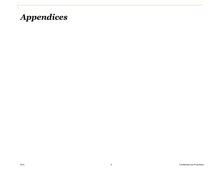<span id="page-8-0"></span>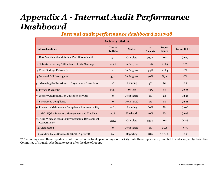# <span id="page-9-0"></span>*Appendix A - Internal Audit Performance Dashboard*

### *Internal audit performance dashboard 2017-18*

| <b>Activity Status</b>                                              |                                |                    |               |                                |                        |  |  |  |  |  |
|---------------------------------------------------------------------|--------------------------------|--------------------|---------------|--------------------------------|------------------------|--|--|--|--|--|
| <b>Internal audit activity</b>                                      | <b>Hours</b><br><b>To Date</b> | <b>Status</b>      | %<br>Complete | <b>Report</b><br><b>Issued</b> | <b>Target Rpt Ortr</b> |  |  |  |  |  |
| 1. Risk Assessment and Annual Plan Development                      | 59                             | Complete           | 100%          | Yes                            | $Q_{2-17}$             |  |  |  |  |  |
| 2. Status & Reporting / Attendance at City Meetings                 | 124.9                          | In Progress        | 83%           | $2$ of $4$                     | N/A                    |  |  |  |  |  |
| 3. Prior Findings Follow-Up                                         | 70                             | In Progress        | 54%           | $2$ of $4$                     | N/A                    |  |  |  |  |  |
| 4. Inbound Call Investigation                                       | 39.2                           | In Progress        | 50%           | N/A                            | N/A                    |  |  |  |  |  |
| 5. Managing the Transition of Projects into Operations              | 16                             | Planning           | 5%            | N <sub>0</sub>                 | $Q_{2-18}$             |  |  |  |  |  |
| 6. Privacy Diagnostic                                               | 218.8                          | <b>Testing</b>     | 85%           | N <sub>0</sub>                 | $Q_{2-18}$             |  |  |  |  |  |
| 7. Property Billing and Tax Collection Services                     | $\mathbf 0$                    | Not Started        | 0%            | No                             | $Q3-18$                |  |  |  |  |  |
| 8. Fire Rescue Compliance                                           | $\mathbf{O}$                   | <b>Not Started</b> | 0%            | N <sub>0</sub>                 | $Q_{2-18}$             |  |  |  |  |  |
| 9. Preventive Maintenance Compliance & Accountability               | 146.4                          | Planning           | 60%           | No                             | $Q_{2-18}$             |  |  |  |  |  |
| 10. ABC: YQG - Inventory Management and Tracking                    | 70.8                           | Fieldwork          | 40%           | N <sub>0</sub>                 | $Q_{2-18}$             |  |  |  |  |  |
| 11. ABC: Windsor Essex County Economic Development<br>Corporation** | 224.2                          | Complete           | 100%          | Yes                            | $O1-18$                |  |  |  |  |  |
| 12. Unallocated                                                     | $\mathbf{O}$                   | <b>Not Started</b> | $0\%$         | N/A                            | N/A                    |  |  |  |  |  |
| 13 Windsor Police Services (2016/17 IA project)                     | 268                            | Reporting          | 98%           | To ABC                         | $Q_{2-18}$             |  |  |  |  |  |

\*\*The findings from these reports are not counted in the total open findings for the City until these reports are presented to and accepted by Executive Committee of Council, scheduled to occur after the date of report.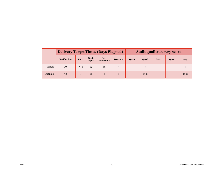|         | <b>Delivery Target Times (Days Elapsed)</b> |              |                        |                 | <b>Audit quality survey score</b> |                          |           |            |                          |      |
|---------|---------------------------------------------|--------------|------------------------|-----------------|-----------------------------------|--------------------------|-----------|------------|--------------------------|------|
|         | <b>Notification</b>                         | <b>Start</b> | <b>Draft</b><br>report | Mgt<br>comments | <b>Issuance</b>                   | $Q1 - 18$                | $Q2 - 18$ | $Q_3 - 17$ | $Q_4 - 17$               | Avg. |
| Target  | 20                                          | $+/- 2$      | 5                      | 15              |                                   | $\overline{\phantom{0}}$ |           |            |                          |      |
| Actuals | 32                                          |              | $\overline{2}$         | $\mathbf Q$     | 6                                 | $\overline{\phantom{0}}$ | 10.0      |            | $\overline{\phantom{0}}$ | 10.0 |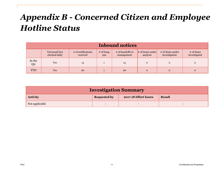# <span id="page-11-0"></span>*Appendix B - Concerned Citizen and Employee Hotline Status*

|               | <b>Inbound notices</b>         |                                |                    |                                |                                 |                                   |                              |  |  |  |  |  |
|---------------|--------------------------------|--------------------------------|--------------------|--------------------------------|---------------------------------|-----------------------------------|------------------------------|--|--|--|--|--|
|               | Voicemail box<br>checked daily | # of notifications<br>received | $#$ of hang<br>ups | # of handoffs to<br>management | $\#$ of items under<br>analysis | # of items under<br>investigation | $#$ of items<br>investigated |  |  |  |  |  |
| In the<br>Qtr | Yes                            | 13                             |                    | 13                             | $\mathbf 0$                     | $\Omega$                          | $\mathbf{0}$                 |  |  |  |  |  |
| <b>YTD</b>    | <b>Yes</b>                     | 26                             |                    | 26                             | $\mathbf{0}$                    | $\Omega$                          | $\Omega$                     |  |  |  |  |  |

| <b>Investigation Summary</b>                                                    |  |  |  |  |  |  |  |  |  |
|---------------------------------------------------------------------------------|--|--|--|--|--|--|--|--|--|
| 2017-18 Effort hours<br><b>Requested by</b><br><b>Activity</b><br><b>Result</b> |  |  |  |  |  |  |  |  |  |
| Not applicable<br>$\qquad \qquad -$<br>$\overline{\phantom{0}}$                 |  |  |  |  |  |  |  |  |  |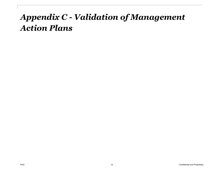# <span id="page-12-0"></span>*Appendix C - Validation of Management Action Plans*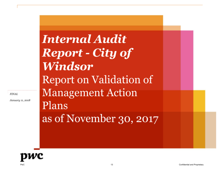**FINAL** 

January 11, 2018

# **Internal Audit Report - City of Windsor Report on Validation of Management Action** Plans as of November 30, 2017

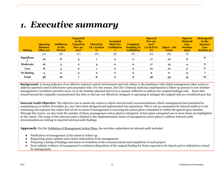# *1. Executive summary*

| <b>Rating</b>    | <b>Opening</b><br><b>Balance</b><br>(May31) | <b>Additions</b><br>in the<br><b>Period</b> | <b>Expected</b><br>to Be<br><b>Closed by</b><br><b>Nov 30,</b><br>2017 | <b>Closed by</b><br><b>IA</b> (section<br>7) | <b>Accepted</b><br><b>Risk (No</b><br><b>Validation</b> | <b>Complete</b><br><b>Pending IA</b><br><b>Validation</b> | <b>Open at</b><br>Nov 30,<br>2017<br>$(A+B-D-E-$<br>$\bf{F}$ | $Open - On$<br>track | Open &<br><b>Delaved</b><br>(see<br><b>Section</b><br>485) | <b>Retargeted</b><br>in the<br><b>Quarter</b><br>(see<br><b>Section 4)</b> |
|------------------|---------------------------------------------|---------------------------------------------|------------------------------------------------------------------------|----------------------------------------------|---------------------------------------------------------|-----------------------------------------------------------|--------------------------------------------------------------|----------------------|------------------------------------------------------------|----------------------------------------------------------------------------|
|                  | (A)                                         | (B)                                         | (C)                                                                    | (D)                                          | (E)                                                     | (F)                                                       | (G)                                                          | (H)                  | (I)                                                        |                                                                            |
| Significan       | 10                                          | 8                                           | 3                                                                      |                                              | $\mathbf{o}$                                            | $\mathbf{o}$                                              | 17                                                           | 10                   | 6                                                          | 6                                                                          |
| Moderate         | 16                                          | 5                                           | $\mathbf{2}$                                                           |                                              | $\mathbf{o}$                                            | $\mathbf{o}$                                              | 17                                                           | 13                   | 4                                                          |                                                                            |
| Low              | 8                                           | 3                                           | $\mathbf{o}$                                                           |                                              | $\mathbf{o}$                                            | $\mathbf{o}$                                              | 10                                                           | 10                   | $\mathbf{o}$                                               | $\mathbf{o}$                                                               |
| <b>No Rating</b> | 4                                           | 0                                           | $\mathbf{2}$                                                           | $\mathbf{2}$                                 | $\mathbf{o}$                                            | $\mathbf{o}$                                              | $\mathbf{2}$                                                 | $\mathbf{o}$         | 3                                                          |                                                                            |
| <b>Total</b>     | 38                                          | 16                                          |                                                                        | 8                                            | $\Omega$                                                | $\mathbf{o}$                                              | 46                                                           | 33                   | 13                                                         | 10                                                                         |

**Background**: A strong indicator of an effective internal control environment and risk culture is the timeliness with which management takes action to address reported control deficiencies and associated risks. For this reason, the City's Internal Audit has implemented a follow up process to test whether management's resolution activities occur (1) in the timeline planned and (2) in a manner sufficient to address the original findings/risk. Items that extend beyond the originally communicated due date or that are not effectively designed or operating to mitigate the original risk are considered past due.

**Internal Audit Objective**: The objective was to assess the extent to which internal audit recommendations which management had committed to completing on or before November 30, 2017 have been designed and implemented into operations. This is not an assessment by internal audit as to the remaining risk exposure but rather that of one to assess if management is executing the action plans committed to within the agreed upon timeline. Through this review, we also track the number of times amanagemen action plant is retargeted. Action plans retargeted one or more times are highlighted in this report. The scope of this internal audit is limited to the implementation status of management action plans to address internal audit recommendations relating to reported internal audit findings.

**Approach:** For the Validation of Management Action Plans, the activities undertaken by internal audit included:

- Notification of management of the intent to follow up;
- Requesting status updates and contact information from management;
- Preparing a listing of findings and status of resolution at the commencement and completion of each project;
- Test/validate evidence of management's resolution/disposition of the original finding for items expected to be closed and/or indicated as closed by management;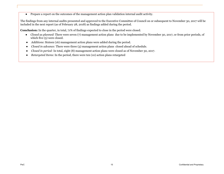● Prepare a report on the outcomes of the management action plan validation internal audit activity.

The findings from any internal audits presented and approved to the Executive Committee of Council on or subsequent to November 30, 2017 will be included in the next report (as of February 28, 2018) as findings added during the period.

**Conclusion:** In the quarter, in total, 71% of findings expected to close in the period were closed.

- *Closed as planned*: There were seven (7) management action plans due to be implemented by November 30, 2017, or from prior periods, of which five (5) were closed.
- *Additions*: Sixteen (16) management action plans were added during the period.
- *Closed in advance:* There were three (3) management action plans closed ahead of schedule.
- *Closed in period:* In total, eight (8) management action plans were closed as of November 30, 2017.
- *Retargeted Items*: In the period, there were ten (10) action plans retargeted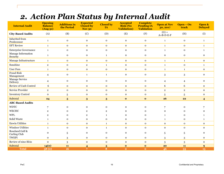## *2. Action Plan Status by Internal Audit*

| <b>Internal Audit</b>           | <b>Opening</b><br><b>Balance</b><br>(Aug31) | <b>Additions in</b><br>the Period | <b>Expected</b><br><b>Closed by</b><br><b>Nov 30</b> | <b>Closed by</b><br><b>IA</b> | <b>Accepted</b><br><b>Risk (No</b><br><b>Validation</b> ) | <b>Complete</b><br><b>Pending IA</b><br><b>Validation</b> | <b>Open at Nov</b><br>30, 2017 | $Open - On$<br>track     | Open &<br><b>Delayed</b> |
|---------------------------------|---------------------------------------------|-----------------------------------|------------------------------------------------------|-------------------------------|-----------------------------------------------------------|-----------------------------------------------------------|--------------------------------|--------------------------|--------------------------|
| <b>City-Based Audits</b>        | (A)                                         | (B)                               | (C)                                                  | (D)                           | (E)                                                       | (F)                                                       | $(G) =$<br>$A + B - D - E - F$ | (H)                      | (I)                      |
| Inherited from<br>Predecessor   | $\mathbf{1}$                                | $\mathbf 0$                       | $\mathbf 0$                                          | $\mathbf 0$                   | $\mathbf 0$                                               | $\mathbf 0$                                               | $\mathbf{1}$                   | ${\bf O}$                | $\mathbf{1}$             |
| <b>EFT Review</b>               | $1\,$                                       | $\mathbf 0$                       | $\mathbf 0$                                          | $\mathbf 0$                   | $\mathbf 0$                                               | $\mathbf{o}$                                              | $\mathbf{1}$                   | $\mathbf 0$              | $\mathbf{1}$             |
| <b>Enterprise Governance</b>    | $1\,$                                       | $\mathbf{o}$                      | $\mathbf 0$                                          | $\mathbf 0$                   | $\mathbf 0$                                               | $\mathbf 0$                                               | $\mathbf{1}$                   | $\mathbf 0$              | $\mathbf{1}$             |
| Manage Information<br>Security  | $\mathbf{1}$                                | $\mathbf O$                       | $\mathbf 0$                                          | $\mathbf{1}$                  | $\mathbf 0$                                               | $\mathbf 0$                                               | $\mathbf 0$                    | $\mathbf 0$              | $\mathbf 0$              |
| Manage Infrastructure           | $1\,$                                       | $\mathbf 0$                       | $\mathbf 0$                                          | $\mathbf 0$                   | $\mathbf 0$                                               | $\mathbf 0$                                               | $\mathbf{1}$                   | $\mathbf{1}$             | $\mathbf 0$              |
| Sunshine                        | $\,2$                                       | $\mathbf{o}$                      | $\bf 2$                                              | $\mathbf{1}$                  | $\mathbf 0$                                               | $\mathbf 0$                                               | $\mathbf{1}$                   | $\mathbf O$              | $\mathbf{1}$             |
| <b>User Fees</b>                | $\mathbf 1$                                 | $\mathbf{o}$                      | $\mathbf 0$                                          | $\mathbf 0$                   | $\mathbf 0$                                               | $\mathbf{o}$                                              | $\mathbf{1}$                   | $\mathbf{1}$             | $\mathbf 0$              |
| <b>Fraud Risk</b><br>Management | $\overline{4}$                              | $\mathbf 0$                       | $\mathbf{1}$                                         | $\mathbf{1}$                  | $\mathbf 0$                                               | $\mathbf 0$                                               | 3                              | 3                        | $\mathbf 0$              |
| Manage Service<br>Delivery      | $\overline{4}$                              | $\mathbf O$                       | $\mathbf 0$                                          | $\mathbf 0$                   | $\mathbf 0$                                               | $\mathbf 0$                                               | $\overline{4}$                 | $\overline{4}$           | $\mathbf 0$              |
| Review of Cash Control          | $6\,$                                       | $\mathbf 0$                       | $\mathbf 0$                                          | $\mathbf 0$                   | $\mathbf 0$                                               | $\mathbf 0$                                               | 6                              | 6                        | $\mathbf 0$              |
| Service Provider                | $\mathbf 2$                                 | $\mathbf 0$                       | $\mathbf 0$                                          | $\mathbf 0$                   | ${\bf O}$                                                 | $\mathbf 0$                                               | $\overline{2}$                 | $\overline{2}$           | $\mathbf O$              |
| <b>Inventory Control</b>        | $\mathbf 0$                                 | 5                                 | $\mathbf 0$                                          | $\mathbf 0$                   | $\mathbf 0$                                               | $\mathbf{o}$                                              | $\sqrt{5}$                     | 5                        | $\mathbf 0$              |
| Subtotal                        | 24                                          | $\overline{\mathbf{5}}$           | $\bf{3}$                                             | $\bf{3}$                      | $\mathbf{o}$                                              | $\mathbf 0$                                               | 26                             | $\overline{\mathbf{22}}$ | $\overline{\mathbf{4}}$  |
| <b>ABC-Based Audits</b>         |                                             |                                   |                                                      |                               |                                                           |                                                           |                                |                          |                          |
| <b>WDTC</b>                     | 7                                           | $\mathbf 0$                       | $\mathbf 0$                                          | $\mathbf 0$                   | $\mathbf 0$                                               | $\mathbf 0$                                               | $\overline{7}$                 | $\mathbf 0$              | 7                        |
| WECHC                           | $\overline{\mathbf{2}}$                     | $\mathbf 0$                       | $\overline{2}$                                       | $\overline{2}$                | $\mathbf 0$                                               | $\mathbf{O}$                                              | $\mathbf 0$                    | $\mathbf{O}$             | $\mathbf 0$              |
| <b>WPL</b>                      | $\overline{\mathbf{2}}$                     | $\Omega$                          | $\overline{2}$                                       | $\mathbf{1}$                  | $\mathbf 0$                                               | $\Omega$                                                  | $\mathbf{1}$                   | $\Omega$                 | $\mathbf{1}$             |
| Solid Waste                     | $\mathbf{1}$                                | $\mathbf 0$                       | $\mathbf 0$                                          | $\mathbf 0$                   | $\mathbf{0}$                                              | $\mathbf{O}$                                              | $\mathbf{1}$                   | 0                        | $\mathbf{1}$             |
| <b>Enwin Utilities</b>          | $\mathbf{1}$                                | $\mathbf{o}$                      | $\mathbf 0$                                          | $\mathbf{1}$                  | $\mathbf 0$                                               | $\mathbf 0$                                               | $\mathbf 0$                    | $\mathbf O$              | $\mathbf 0$              |
| <b>Windsor Utilities</b>        | $\mathbf{1}$                                | $\mathbf{o}$                      | $\mathbf 0$                                          | $\mathbf{1}$                  | $\mathbf 0$                                               | $\mathbf 0$                                               | $\mathbf{O}$                   | $\mathbf 0$              | $\mathbf 0$              |
| Roseland Golf &<br>Curling Club | $\mathbf 0$                                 | 5                                 | $\mathbf 0$                                          | $\mathbf 0$                   | $\mathbf 0$                                               | $\mathbf 0$                                               | 5                              | 5                        | $\mathbf 0$              |
| <b>TWEPI</b>                    | $\mathbf 0$                                 | 3                                 | $\mathbf 0$                                          | $\mathbf 0$                   | $\mathbf 0$                                               | $\mathbf 0$                                               | 3                              | 3                        | $\mathbf 0$              |
| Review of nine BIAs             | $\mathbf O$                                 | 3                                 | $\mathbf O$                                          | $\mathbf 0$                   | $\mathbf 0$                                               | $\mathbf 0$                                               | 3                              | 3                        | $\mathbf O$              |
| Subtotal                        | 14(0)                                       | 11                                | $\overline{4}$                                       | $\overline{\mathbf{5}}$       | $\mathbf{o}$                                              | $\mathbf{o}$                                              | 20                             | 11                       | 9                        |
| <b>Total</b>                    | 38(0)                                       | 16                                | $\overline{7}$                                       | 8                             | $\mathbf{o}$                                              | $\mathbf{o}$                                              | 46                             | 33                       | 13                       |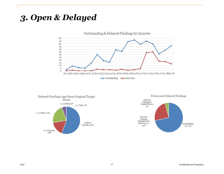Outstanding & Delayed Findings by Quarter





*3. Open & Delayed*

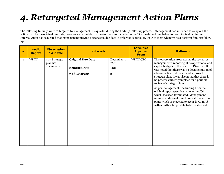# *4. Retargeted Management Action Plans*

The following findings were re-targeted by management this quarter during the findings follow up process. Management had intended to carry out the action plan by the original due date, however were unable to do so for reasons included in the "Rationale" column below for each individual finding. Internal Audit has requested that management provide a retargeted due date in order for us to follow up with them when we next perform findings follow up.

| # | <b>Audit</b><br><b>Report</b> | <b>Observation</b><br>$# \& Name$          | <b>Retargets</b>         |                      | <b>Executive</b><br><b>Approval</b><br><b>From</b> | <b>Rationale</b>                                                                                                                                                                                                                                                                  |
|---|-------------------------------|--------------------------------------------|--------------------------|----------------------|----------------------------------------------------|-----------------------------------------------------------------------------------------------------------------------------------------------------------------------------------------------------------------------------------------------------------------------------------|
| 1 | <b>WDTC</b>                   | $51 -$ Strategic<br>plan not<br>documented | <b>Original Due Date</b> | December 31,<br>2016 | WDTC CEO                                           | This observation arose during the review of<br>management's reporting of its operational and<br>capital budgets to the Board of Directors. It                                                                                                                                     |
|   |                               |                                            | <b>Retarget Date</b>     | TBD                  |                                                    | was noted that there was no documentation of                                                                                                                                                                                                                                      |
|   |                               |                                            | # of Retargets           | $\overline{2}$       |                                                    | a broader Board directed and approved<br>strategic plan. It was also noted that there is<br>no process currently in place for a periodic<br>review of strategic plans.                                                                                                            |
|   |                               |                                            |                          |                      |                                                    | As per management, the finding from the<br>original report specifically tie to the JOA<br>which has been terminated. Management<br>requires additional time to redraft the action<br>plans which is expected to occur in Q1 2018<br>with a further target date to be established. |
|   |                               |                                            |                          |                      |                                                    |                                                                                                                                                                                                                                                                                   |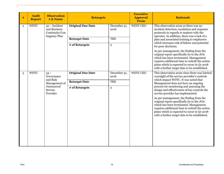| $\#$           | <b>Audit</b><br><b>Report</b> | <b>Observation</b><br># & Name                                                        | <b>Retargets</b>                       |                            | <b>Executive</b><br><b>Approval</b><br>From | <b>Rationale</b>                                                                                                                                                                                                                                                                                         |                                                                             |
|----------------|-------------------------------|---------------------------------------------------------------------------------------|----------------------------------------|----------------------------|---------------------------------------------|----------------------------------------------------------------------------------------------------------------------------------------------------------------------------------------------------------------------------------------------------------------------------------------------------------|-----------------------------------------------------------------------------|
| $\overline{2}$ | <b>WDTC</b>                   | $52$ – Incident<br>and Business<br>Continuity/Con<br>tingency Plan                    | <b>Original Due Date</b>               | December 31,<br>2016       | <b>WDTC CEO</b>                             | This observation arose as there was no<br>incident detection, escalation and response<br>protocols in regards to matters with the<br>operator. In addition, there was a lack of a                                                                                                                        |                                                                             |
|                |                               |                                                                                       | <b>Retarget Date</b><br># of Retargets | <b>TBD</b><br>$\mathbf{2}$ |                                             | plan and associated training to employees<br>which increases risk of failure and potential                                                                                                                                                                                                               |                                                                             |
|                |                               |                                                                                       |                                        |                            |                                             | for poor decisions.<br>As per management, the finding from the<br>original report specifically tie to the JOA<br>which has been terminated. Management<br>requires additional time to redraft the action<br>plans which is expected to occur in Q1 2018<br>with a further target date to be established. |                                                                             |
| 3              | <b>WDTC</b>                   | $54-$<br>Governance<br>and Risk<br>Management of<br>Outsourced<br>Service<br>Provider | <b>Original Due Date</b>               | December 31,<br>2016       | <b>WDTC CEO</b>                             | This observation arose since there was limited<br>oversight of the service provider's controls                                                                                                                                                                                                           |                                                                             |
|                |                               |                                                                                       |                                        | <b>Retarget Date</b>       | <b>TBD</b>                                  |                                                                                                                                                                                                                                                                                                          | which impact WDTC. It was noted that<br>Management does not have an ongoing |
|                |                               |                                                                                       |                                        |                            | # of Retargets                              | $\mathbf{2}$                                                                                                                                                                                                                                                                                             |                                                                             |
|                |                               |                                                                                       |                                        |                            |                                             | As per management, the finding from the<br>original report specifically tie to the JOA<br>which has been terminated. Management<br>requires additional time to redraft the action<br>plans which is expected to occur in Q1 2018<br>with a further target date to be established.                        |                                                                             |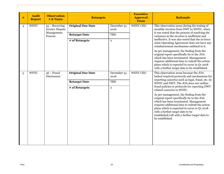| # | <b>Audit</b><br><b>Report</b> | <b>Observation</b><br># & Name             | <b>Retargets</b>         |                      | <b>Executive</b><br><b>Approval</b><br>From | <b>Rationale</b>                                                                                                                                                                                                                                                                              |
|---|-------------------------------|--------------------------------------------|--------------------------|----------------------|---------------------------------------------|-----------------------------------------------------------------------------------------------------------------------------------------------------------------------------------------------------------------------------------------------------------------------------------------------|
| 4 | <b>WDTC</b>                   | $55 - Recurring$<br><b>Invoice Dispute</b> | <b>Original Due Date</b> | December 31,<br>2016 | <b>WDTC CEO</b>                             | This observation arose during the testing of<br>monthly invoices from DWT to WDTC, when                                                                                                                                                                                                       |
|   |                               | Management<br>Process                      | <b>Retarget Date</b>     | TBD                  |                                             | it was noted that the process of resolving the<br>variances in the invoices is inefficient and<br>ineffective. It was also noted that the in-force                                                                                                                                            |
|   |                               |                                            | # of Retargets           | $\mathbf 2$          |                                             | Joint Operating Agreement does not have any<br>reimbursement mechanism outlined in it.                                                                                                                                                                                                        |
|   |                               |                                            |                          |                      |                                             | As per management, the finding from the<br>original report specifically tie to the JOA<br>which has been terminated. Management<br>requires additional time to redraft the action<br>plans which is expected to occur in Q1 2018<br>with a further target date to be established.             |
| 5 | <b>WDTC</b>                   | $56 - Fraud$<br><b>Disclosures</b>         | <b>Original Due Date</b> | December 31,<br>2016 | <b>WDTC CEO</b>                             | This observation arose because the JOA<br>lacked required protocols and mechanisms for<br>reporting concerns such as legal, fraud, etc. by                                                                                                                                                    |
|   |                               |                                            | <b>Retarget Date</b>     | TBD                  |                                             | WDTC and DWT. The JOA does not outline<br>fraud policies or protocols for reporting DWT                                                                                                                                                                                                       |
|   |                               |                                            | # of Retargets           | $\overline{2}$       |                                             | related concerns to WDTC.<br>As per management, the finding from the                                                                                                                                                                                                                          |
|   |                               |                                            |                          |                      |                                             | original report specifically tie to the JOA<br>which has been terminated. Management<br>requires additional time to redraft the action<br>plans which is expected to occur in Q1 2018<br>with a further target date to be<br>established.018 with a further target date to<br>be established. |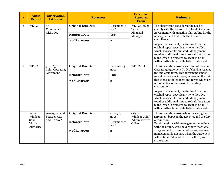| # | <b>Audit</b><br><b>Report</b>    | <b>Observation</b><br># & Name             | <b>Retargets</b>         |                      | <b>Executive</b><br><b>Approval</b><br>From | <b>Rationale</b>                                                                                                                                                                                                                                                                  |  |
|---|----------------------------------|--------------------------------------------|--------------------------|----------------------|---------------------------------------------|-----------------------------------------------------------------------------------------------------------------------------------------------------------------------------------------------------------------------------------------------------------------------------------|--|
| 6 | <b>WDTC</b>                      | $57 -$<br>Compliance                       | <b>Original Due Date</b> | December 31,<br>2016 | <b>WDTC CEO &amp;</b><br>Tunnel             | The observation considered the need to<br>comply with the terms of the Joint Operating                                                                                                                                                                                            |  |
|   |                                  | with JOA                                   | <b>Retarget Date</b>     | TBD                  | Financial<br>Manager                        | Agreement, with an action plan calling for the<br>new agreement to dictate the terms of<br>compliance.                                                                                                                                                                            |  |
|   |                                  |                                            | # of Retargets           | $\mathbf{2}$         |                                             | As per management, the finding from the<br>original report specifically tie to the JOA<br>which has been terminated. Management<br>requires additional time to redraft the action<br>plans which is expected to occur in Q1 2018<br>with a further target date to be established. |  |
| 7 | <b>WDTC</b>                      | $58 - Age$ of<br>Joint Operating           | <b>Original Due Date</b> | December 31,<br>2016 | <b>WDTC CEO</b>                             | This observation arose as a result of the Joint<br>Operating Agreement ("JOA") having reached                                                                                                                                                                                     |  |
|   |                                  | Agreement                                  | <b>Retarget Date</b>     | TBD                  |                                             | the end of its term. This agreement's most<br>recent review was in 1997, increasing the risk                                                                                                                                                                                      |  |
|   |                                  |                                            | # of Retargets           | $\overline{2}$       |                                             | that it has outdated facts and terms which are<br>not reflective of the current operating<br>environment.                                                                                                                                                                         |  |
|   |                                  |                                            |                          |                      |                                             | As per management, the finding from the<br>original report specifically tie to the JOA<br>which has been terminated. Management<br>requires additional time to redraft the action<br>plans which is expected to occur in Q1 2018<br>with a further target date to be established. |  |
| 8 | <b>Essex</b><br>Windsor<br>Solid | 101-Agreement<br>between City<br>and EWSWA | <b>Original Due Date</b> | June 30,<br>2016     | City of<br>Windsor Chief<br>Administrative  | This observation arose when reviewing the<br>agreement between the EWSWA and the City<br>of Windsor.                                                                                                                                                                              |  |
|   | Waste<br>Authority               |                                            | <b>Retarget Date</b>     | December 31,<br>2018 | Officer                                     | Per discussions with management, meetings<br>with the County were held, where there was                                                                                                                                                                                           |  |
|   |                                  |                                            | # of Retargets           | $\overline{2}$       |                                             | an agreement on number of issues, however<br>management is not sure when the agreement<br>will be finalized or whether it will require<br>arbitration.                                                                                                                            |  |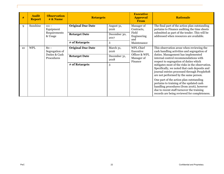| #  | <b>Audit</b><br><b>Report</b> | <b>Observation</b><br>$# \& Name$                       | <b>Retargets</b>         |                      | <b>Executive</b><br><b>Approval</b><br><b>From</b>      | <b>Rationale</b>                                                                                                                                                                                                             |
|----|-------------------------------|---------------------------------------------------------|--------------------------|----------------------|---------------------------------------------------------|------------------------------------------------------------------------------------------------------------------------------------------------------------------------------------------------------------------------------|
| 9  | Sunshine                      | $111 -$<br>Equipment                                    | <b>Original Due Date</b> | August 31,<br>2016   | Manager of<br>Contracts,<br>Field<br>Engineering<br>and | The final part of the action plan outstanding<br>pertains to Finance auditing the time sheets                                                                                                                                |
|    |                               | Requirements<br>& Usage                                 | <b>Retarget Date</b>     | December 30,<br>2017 |                                                         | submitted as part of the tender. This will be<br>addressed when resources are available.                                                                                                                                     |
|    |                               |                                                         | # of Retargets           | 3                    | Maintenance                                             |                                                                                                                                                                                                                              |
| 10 | <b>WPL</b>                    | $80 -$<br>Segregation of<br>Duties & Cash<br>Procedures | <b>Original Due Date</b> | March 31,<br>2016    | WPL Chief<br>Executive                                  | This observation arose when reviewing the<br>cash handling activities and segregation of<br>duties. Management has implemented<br>internal control recommendations with<br>respect to segregation of duties which            |
|    |                               |                                                         | <b>Retarget Date</b>     | December 31,<br>2018 | Officer & WPL<br>Manager of<br>Finance                  |                                                                                                                                                                                                                              |
|    |                               |                                                         | # of Retargets           | 3                    |                                                         | mitigates most of the risks in the observation.<br>Specifically, we noted that cash deposits and<br>journal entries processed through PeopleSoft<br>are not performed by the same person.                                    |
|    |                               |                                                         |                          |                      |                                                         | One part of the action plan outstanding<br>pertains to training of the updated cash<br>handling procedures (from 2016), however<br>due to recent staff turnover the training<br>records are being reviewed for completeness. |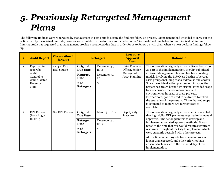# *5. Previously Retargeted Management Plans*

The following findings were re-targeted by management in past periods during the findings follow up process. Management had intended to carry out the action plan by the original due date, however were unable to do so for reasons included in the "Rationale" column below for each individual finding. Internal Audit has requested that management provide a retargeted due date in order for us to follow up with them when we next perform findings follow up.

| #              | <b>Audit Report</b>                                        | <b>Observation #</b><br>& Name     | <b>Retargets</b>               |                          | <b>Executive</b><br><b>Approval</b><br>From | <b>Rationale</b>                                                                                                                                                                                                                                                                                                                                                             |                                                                                                   |  |                                                                                                                                                        |
|----------------|------------------------------------------------------------|------------------------------------|--------------------------------|--------------------------|---------------------------------------------|------------------------------------------------------------------------------------------------------------------------------------------------------------------------------------------------------------------------------------------------------------------------------------------------------------------------------------------------------------------------------|---------------------------------------------------------------------------------------------------|--|--------------------------------------------------------------------------------------------------------------------------------------------------------|
| $\mathbf{1}$   | Reported in<br>report by                                   | 1 - 400 City<br><b>Hall Square</b> | Original<br><b>Due Date</b>    | December 31,<br>2014     | <b>Chief Financial</b><br>Officer, Senior   | This observation originally arose in December 2009.<br>As part of this implementation, the City submitted                                                                                                                                                                                                                                                                    |                                                                                                   |  |                                                                                                                                                        |
|                | Auditor<br>General to<br>Council dated<br>December<br>2009 |                                    | <b>Retarget</b><br><b>Date</b> | December 31,<br>2018     | Manager of<br><b>Asset Planning</b>         | an Asset Management Plan and has been creating<br>models involving the Life Cycle Costing of several<br>asset groups including roads, sidewalks and sewers.                                                                                                                                                                                                                  |                                                                                                   |  |                                                                                                                                                        |
|                |                                                            |                                    | $#$ of<br><b>Retargets</b>     | 3                        |                                             | Since the original action plan, set out in 2009, the<br>project has grown beyond its original intended scope<br>to now consider the socio-economic and<br>environmental impacts of these projects.<br>Furthermore, policies need to be drafted to reflect<br>the strategies of the program. This enhanced scope<br>is estimated to require two further years to<br>complete. |                                                                                                   |  |                                                                                                                                                        |
| $\overline{2}$ | <b>EFT Review</b><br>(from August)                         | 8 - EFT Review                     | Original<br><b>Due Date</b>    | March 31, 2017           | Deputy City<br>Treasurer                    | This observation originally arose when it was noted<br>that high dollar EFT payments required only manual                                                                                                                                                                                                                                                                    |                                                                                                   |  |                                                                                                                                                        |
|                | 12, 2013)                                                  |                                    |                                |                          |                                             | December 31,<br><b>Retarget</b><br><b>Date</b><br>2019                                                                                                                                                                                                                                                                                                                       |                                                                                                   |  | approvals. The action plan was to develop and<br>implement automated approval methods. It was<br>noted at the time that this would require significant |
|                |                                                            |                                    |                                | # of<br><b>Retargets</b> | $\mathbf{1}$                                |                                                                                                                                                                                                                                                                                                                                                                              | resources throughout the City to implement, which<br>were currently occupied with other projects. |  |                                                                                                                                                        |
|                |                                                            |                                    |                                |                          |                                             | At this time, other projects have been in process<br>longer than expected, and other priorities have<br>arisen, which has led to the further delay of this<br>implementation.                                                                                                                                                                                                |                                                                                                   |  |                                                                                                                                                        |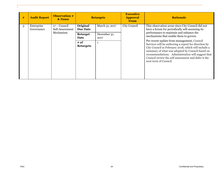| # | <b>Audit Report</b>      | <b>Observation #</b><br>& Name                 |                             | <b>Retargets</b> | <b>Executive</b><br><b>Approval</b><br><b>From</b> | <b>Rationale</b>                                                                                                                                                                                                                                                                                    |  |                                                                                      |
|---|--------------------------|------------------------------------------------|-----------------------------|------------------|----------------------------------------------------|-----------------------------------------------------------------------------------------------------------------------------------------------------------------------------------------------------------------------------------------------------------------------------------------------------|--|--------------------------------------------------------------------------------------|
| 3 | Enterprise<br>Governance | $17 -$ Council<br>Self-Assessment<br>Mechanism | Original<br><b>Due Date</b> | March 31, 2017   | City Council                                       | This observation arose since City Council did not<br>have a forum for periodically self-assessing its<br>performance to maintain and enhance the                                                                                                                                                    |  |                                                                                      |
|   |                          |                                                |                             | Date             | <b>Retarget</b>                                    | December 31,<br>2017                                                                                                                                                                                                                                                                                |  | mechanisms that enable them to govern.<br>Per recent update from management, Council |
|   |                          |                                                | # of<br><b>Retargets</b>    | $\mathbf{1}$     |                                                    | Services will be authoring a report for direction by<br>City Council in February 2018, which will include a<br>summary of what was adopted by Council based on<br>recommendations. Administration will suggest that<br>Council review the self assessment and defer it the<br>next term of Council. |  |                                                                                      |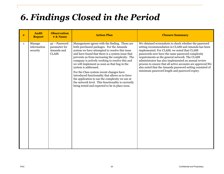# *6. Findings Closed in the Period*

| #            | <b>Audit</b><br><b>Report</b>     | <b>Observation</b><br># & Name                               | <b>Action Plan</b>                                                                                                                                                                                                                                                                                                                                                                                                                                                                                                                                                                                                                      | <b>Closure Summary</b>                                                                                                                                                                                                                                                                                                                                                                                                                                                                             |
|--------------|-----------------------------------|--------------------------------------------------------------|-----------------------------------------------------------------------------------------------------------------------------------------------------------------------------------------------------------------------------------------------------------------------------------------------------------------------------------------------------------------------------------------------------------------------------------------------------------------------------------------------------------------------------------------------------------------------------------------------------------------------------------------|----------------------------------------------------------------------------------------------------------------------------------------------------------------------------------------------------------------------------------------------------------------------------------------------------------------------------------------------------------------------------------------------------------------------------------------------------------------------------------------------------|
| $\mathbf{1}$ | Manage<br>information<br>security | 42 - Password<br>parameter for<br>Amanda and<br><b>CLASS</b> | Management agrees with the finding. These are<br>both purchased packages. For the Amanda<br>system we have attempted to resolve this issue<br>and have found that there is a system issue that<br>prevents us from increasing the complexity. The<br>company is actively working to resolve this and<br>we will implement as soon as that bug in the<br>system is addressed.<br>For the Class system recent changes have<br>introduced functionality that allows us to force<br>the application to use the complexity we use at<br>the network level. This functionality is currently<br>being tested and expected to be in place soon. | We obtained screenshots to check whether the password<br>setting recommendation in CLASS and Amanda has been<br>implemented. For CLASS, we noted that CLASS<br>passwords now have the same password complexity<br>requirements as the general network. The CLASS<br>administrator has also implemented an annual review<br>process to ensure that all active accounts are approved. We<br>also noted that the Amanda password setting consisted of<br>minimum password length and password expiry. |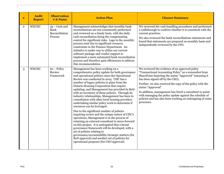| #            | <b>Audit</b><br><b>Report</b> | <b>Observation</b><br># <b>&amp;</b> Name            | <b>Action Plan</b>                                                                                                                                                                                                                                                                                                                                                                                                                                                                                                                                                                                                                                                                                                                                                                                                                                                                                                                                                                                                                                              | <b>Closure Summary</b>                                                                                                                                                                                                                                                                                                                                                                                                                                                                     |
|--------------|-------------------------------|------------------------------------------------------|-----------------------------------------------------------------------------------------------------------------------------------------------------------------------------------------------------------------------------------------------------------------------------------------------------------------------------------------------------------------------------------------------------------------------------------------------------------------------------------------------------------------------------------------------------------------------------------------------------------------------------------------------------------------------------------------------------------------------------------------------------------------------------------------------------------------------------------------------------------------------------------------------------------------------------------------------------------------------------------------------------------------------------------------------------------------|--------------------------------------------------------------------------------------------------------------------------------------------------------------------------------------------------------------------------------------------------------------------------------------------------------------------------------------------------------------------------------------------------------------------------------------------------------------------------------------------|
| $\mathbf{2}$ | WECHC                         | $59 - Cash$ and<br>Bank<br>Reconciliation<br>Process | Management acknowledges that monthly bank<br>reconciliations are not consistently performed<br>and reviewed on a timely basis, with the daily<br>cash reconciliation being the compensating<br>control for significant risks. Lags in the monthly<br>process exist due to significant resource<br>constraints in the Finance Department. An<br>initiative is under way to utilize our current<br>software package and vendor support to<br>implement a more automated bank reconciliation<br>process and therefore gain efficiencies to address<br>this recommendation.                                                                                                                                                                                                                                                                                                                                                                                                                                                                                         | We reviewed the cash handling procedures and performed<br>a walkthrough to confirm whether it is consistent with the<br>current practices.<br>We also reviewed the bank reconciliations statements and<br>found that statements are prepared on monthly basis and<br>independently reviewed by the CFO.                                                                                                                                                                                    |
| 3            | WECHC                         | $62 - Policy$<br>Review<br>Framework                 | Management has been working on a<br>comprehensive policy update for both governance<br>and operational policies since the Operational<br>Review was conducted in 2014. CHC has a<br>number of legacy policies in place from the<br>Ontario Housing Corporation that require<br>updating, and Management has provided its BoD<br>with an inventory of these policies. Through its<br>industry relationships, Management has been in<br>consultation with other local housing providers<br>undertaking similar policy work to determine if<br>resources can be leveraged.<br>Due to the significant number of policies<br>requiring review and the unique nature of CHC's<br>operations, Management is in the process of<br>retaining an external consultant to move forward<br>on this project. It is anticipated that a broad<br>governance framework will be developed, with a<br>set of policies relating to<br>governance/accountability/strategic matters (for<br>BoD approval) and another set of policies for<br>operational purposes (for CEO approval). | We reviewed the evidence of an approved policy<br>"Transactional Accounting Policy" as a screenshot from<br>SharePoint depicting the status "Approved" (meaning it<br>has been signed off by the CEO).<br>Further, we also received the copy of the policy with the<br>status "Approved"<br>In addition, management has hired a consultant to assist<br>with managing the policy update against the schedule of<br>policies and has also been working on redesigning of some<br>processes. |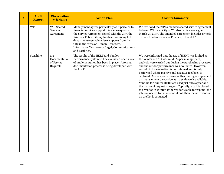| $\#$ | <b>Audit</b><br><b>Report</b> | <b>Observation</b><br># <b>&amp;</b> Name          | <b>Action Plan</b>                                                                                                                                                                                                                                                                                                                                                    | <b>Closure Summary</b>                                                                                                                                                                                                                                                                                                                                                                                                                                                                                                                                                                                                                                                                                                                                 |
|------|-------------------------------|----------------------------------------------------|-----------------------------------------------------------------------------------------------------------------------------------------------------------------------------------------------------------------------------------------------------------------------------------------------------------------------------------------------------------------------|--------------------------------------------------------------------------------------------------------------------------------------------------------------------------------------------------------------------------------------------------------------------------------------------------------------------------------------------------------------------------------------------------------------------------------------------------------------------------------------------------------------------------------------------------------------------------------------------------------------------------------------------------------------------------------------------------------------------------------------------------------|
| 4    | <b>WPL</b>                    | $77 - Shared$<br><b>Services</b><br>Agreement      | Management agrees particularly as it pertains to<br>financial services support. As a consequence of<br>the Service Agreement signed with the City, the<br>Windsor Public Library has been receiving full<br>department-equivalent level support from the<br>City in the areas of Human Resources,<br>Information Technology, Legal, Communications<br>and Facilities. | We reviewed the WPL amended shared service agreement<br>between WPL and City of Windsor whish was signed on<br>March 21, 2017. The amended agreement includes criteria<br>on core functions such as Finance, HR and IT.                                                                                                                                                                                                                                                                                                                                                                                                                                                                                                                                |
| 5    | Sunshine                      | $112 -$<br>Documentation<br>of Service<br>Requests | The results of the HERT and Vendor<br>Performance system will be evaluated once a year<br>of implementation has been in place. A formal<br>documentation process is being developed with<br>the HERT                                                                                                                                                                  | We were informed that the use of HERT was limited as<br>the Winter of 2017 was mild. As per management,<br>analysis were carried out during the purchasing processes<br>and the vendor performance was evaluated. However,<br>record of this evaluation is not retained and is only<br>performed where positive and negative feedback is<br>captured. As such, our closure of this finding is dependent<br>on management discussion as no evidence is available.<br>Vendors for Winter HERT are used just once a year and<br>the nature of request is urgent. Typically, a call is placed<br>to a vendor in Winter, if the vendor is able to respond, the<br>job is allocated to the vendor, if not, then the next vendor<br>on the list is contacted. |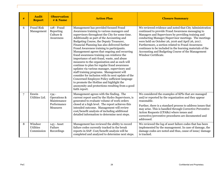| #              | <b>Audit</b><br><b>Report</b>             | <b>Observation</b><br>$# \&$ Name                                 | <b>Action Plan</b>                                                                                                                                                                                                                                                                                                                                                                                                                                                                                                                                                                                                                                                                                                                                                                                                                                                                           | <b>Closure Summary</b>                                                                                                                                                                                                                                                                                                                                                                                                                                                         |
|----------------|-------------------------------------------|-------------------------------------------------------------------|----------------------------------------------------------------------------------------------------------------------------------------------------------------------------------------------------------------------------------------------------------------------------------------------------------------------------------------------------------------------------------------------------------------------------------------------------------------------------------------------------------------------------------------------------------------------------------------------------------------------------------------------------------------------------------------------------------------------------------------------------------------------------------------------------------------------------------------------------------------------------------------------|--------------------------------------------------------------------------------------------------------------------------------------------------------------------------------------------------------------------------------------------------------------------------------------------------------------------------------------------------------------------------------------------------------------------------------------------------------------------------------|
| 6              | <b>Fraud Risk</b><br>Management           | 128 - Fraud<br>Reporting<br>Culture &<br>Awareness                | Management has provided focused Fraud<br>Awareness training to various managers and<br>supervisors throughout the City for some time.<br>Additionally as part of the Accounting and<br>Budgeting Course, the Deputy Treasurer,<br>Financial Planning has also delivered further<br>Fraud Awareness training to participants.<br>Management agrees that ongoing and recurring<br>fraud awareness training can reinforce the<br>importance of anti-fraud, waste, and abuse<br>measures to the organization and as such will<br>continue to plan for regular fraud awareness<br>updates via various manager, supervisory and<br>staff training programs. Management will<br>consider for inclusion with its next update of the<br>Concerned Employee Policy sufficient language<br>to promote the Hotline and highlight the<br>anonymity and protections resulting from a good<br>faith report. | We reviewed evidence and noted that City Administration<br>continued to provide Fraud Awareness messaging to<br>Managers and Supervisors by providing training and<br>conducting Manager/Supervisor meetings. The meetings<br>were held on October 26, 2016 and April 26, 2017.<br>Furthermore, a section related to Fraud Awareness<br>continues to be included in the learning materials of the<br>Accounting and Budgeting Course of the Management<br>Windsor Certificate. |
| $\overline{7}$ | Enwin<br>Utilities Ltd.                   | $134 -$<br>Operations &<br>Maintenance<br>Performance<br>Measures | Management agrees with the finding. The<br>current report used by the Hydro Supervisors, is<br>generated to evaluate volume of work orders<br>closed at a high level. The report achieves this<br>intended outcome. Management will review<br>cost/benefit analysis of including additional<br>detailed information to determine next steps.                                                                                                                                                                                                                                                                                                                                                                                                                                                                                                                                                 | We considered the examples of KPIs that are managed<br>and/or reported by the organization and they appear<br>reasonable.<br>Further, there is a standard process to address issues that<br>may arise. This is handled through Corrective Preventive<br>Action Requests (CPARs) where issues and<br>corrective/preventive procedures are documented and<br>addressed.                                                                                                          |
| 8              | Windsor<br><b>Utilities</b><br>Commission | 143 - Asset<br>Failure<br>Recordings                              | Management has reviewed the ability to record<br>failure codes currently tracked in the break<br>reports in SAP. Cost/benefit analysis will be<br>completed and analyzed to determine next steps.                                                                                                                                                                                                                                                                                                                                                                                                                                                                                                                                                                                                                                                                                            | We reviewed the log of asset failure codes that has been<br>implemented by the management. In case of damage, the<br>damage codes are noted and thus, cause of issue/ damage<br>is tracked.                                                                                                                                                                                                                                                                                    |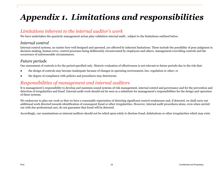# *Appendix 1. Limitations and responsibilities*

### *Limitations inherent to the internal auditor's work*

We have undertaken the quarterly management action plan validation internal audit , subject to the limitations outlined below.

#### *Internal control*

Internal control systems, no matter how well designed and operated, are affected by inherent limitations. These include the possibility of poor judgment in decision-making, human error, control processes being deliberately circumvented by employees and others, management overriding controls and the occurrence of unforeseeable circumstances.

#### *Future periods*

Our assessment of controls is for the period specified only. Historic evaluation of effectiveness is not relevant to future periods due to the risk that:

- the design of controls may become inadequate because of changes in operating environment, law, regulation or other; or
- the degree of compliance with policies and procedures may deteriorate.

## *Responsibilities of management and internal auditors*

It is management's responsibility to develop and maintain sound systems of risk management, internal control and governance and for the prevention and detection of irregularities and fraud. Internal audit work should not be seen as a substitute for management's responsibilities for the design and operation of these systems.

We endeavour to plan our work so that we have a reasonable expectation of detecting significant control weaknesses and, if detected, we shall carry out additional work directed towards identification of consequent fraud or other irregularities. However, internal audit procedures alone, even when carried out with due professional care, do not guarantee that fraud will be detected.

Accordingly, our examinations as internal auditors should not be relied upon solely to disclose fraud, defalcations or other irregularities which may exist.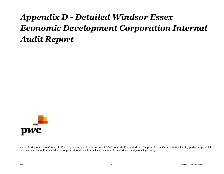# <span id="page-30-0"></span>*Appendix D - Detailed Windsor Essex Economic Development Corporation Internal Audit Report*



© 2018 PricewaterhouseCoopers LLP. All rights reserved. In this document, "PwC" refers to PricewaterhouseCoopers LLP (an Ontario limited liability partnership), which is a member firm of PricewaterhouseCoopers International Limited, each member firm of which is a separate legal entity.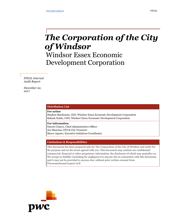## *The Corporation of the City of Windsor*

Windsor Essex Economic Development Corporation

*FINAL Internal Audit Report* 

*December 22, 2017*

#### **Distribution List**

**For action**

Stephen MacKenzie, CEO, Windsor Essex Economic Development Corporation Rakesh Naidu, COO, Windsor Essex Economic Development Corporation

**For information** Onorio Colucci, Chief Administrative Officer Joe Mancina, CFO & City Treasurer Marco Aquino, Executive Initiatives Coordinator

#### **Limitations & Responsibilities**

This document has been prepared only for The Corporation of the City of Windsor and solely for the purpose and on the terms agreed with you. This document may contain our confidential commercial, financial or other proprietary information, the disclosure of which may prejudice us. We accept no liability (including for negligence) to anyone else in connection with this document, and it may not be provided to anyone else, without prior written consent from PricewaterhouseCoopers LLP.

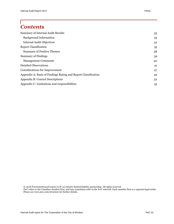## *Contents*

| <b>Summary of Internal Audit Results</b>                       | 33 |
|----------------------------------------------------------------|----|
| <b>Background Information</b>                                  | 33 |
| <b>Internal Audit Objectives</b>                               | 34 |
| <b>Report Classification</b>                                   | 35 |
| <b>Summary of Positive Themes</b>                              | 38 |
| <b>Summary of Findings</b>                                     | 39 |
| <b>Management Comments</b>                                     | 40 |
| <b>Detailed Observations</b>                                   | 41 |
| Considerations for Improvement                                 | 47 |
| Appendix A: Basis of Findings Rating and Report Classification | 49 |
| Appendix B: Control Descriptions                               | 52 |
| Appendix C: Limitations and responsibilities                   | 55 |

© 2018 PricewaterhouseCoopers LLP, an Ontario limited liability partnership. All rights reserved. PwC refers to the Canadian member firm, and may sometimes refer to the PwC network. Each member firm is a separate legal entity. Please see www.pwc.com/structure for further details.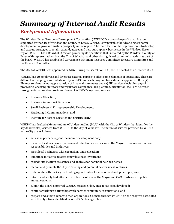## *Summary of Internal Audit Results*

### *Background Information*

The Windsor Essex Economic Development Corporation ("WEEDC") is a not-for-profit organization supported by the City of Windsor and County of Essex. WEEDC is responsible for advancing economic development to grow and sustain prosperity in the region. The main focus of the organization is to develop and execute strategies to retain, expand, attract and help start up new businesses in the Windsor-Essex region. WEEDC has a Board of Directors governing its operations that is chaired by the Warden - County of Essex with representatives from the City of Windsor and other distinguished community leaders as part of the board. WEEDC has established Governance & Human Resource Committee, Executive Committee and the Finance Committee.

The CEO of WEEDC was appointed in 2016. During the search for CEO, the COO acted as an interim CEO.

WEEDC has 20 employees and leverages external parties to effect some elements of operations. There are different active programs undertaken by WEEDC and each program has a director appointed. Both (1) Finance services including preparation of financial statements and (2) HR services (including payroll processing, ensuring statutory and regulatory compliance, HR planning, orientation, etc.) are delivered through external service providers. Some of WEEDC's key programs are:

- Business Attraction;
- Business Retention & Expansion;
- Small Business & Entrepreneurship Development;
- Marketing & Communications; and
- Institute for Border Logistics and Security (IBLS)

WEEDC has drafted a Memorandum of Understanding (MoU) with the City of Windsor that identifies the key deliverables/ services from WEEDC to the City of Windsor. The nature of services provided by WEEDC to the City are as follows:

- act as the primary regional economic development body;
- focus on local business expansion and retention as well as assist the Mayor in business attraction responsibilities and initiatives;
- assist local businesses with expansions and relocation;
- undertake initiatives to attract new business investment;
- provide site location assistance and analysis for potential new businesses;
- market and promote the City to existing and potential new business ventures;
- collaborate with the City on funding opportunities for economic development purposes;
- inform and apply best efforts to involve the offices of the Mayor and CAO in advance of public announcements;
- submit the Board approved WEEDC Strategic Plan, once it has been developed;
- continue working relationships with partner community organizations; and
- prepare and submit report to the Corporation's Council, through its CAO, on the progress associated with the objectives identified in WEEDC's Strategic Plan.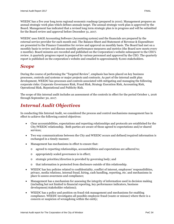WEEDC has a five year long term regional economic roadmap (prepared in 2010). Management prepares an annual strategic work plan which defines annuals target. The annual strategic work plan is approved by the Board. Management has indicated that a revised long term strategic plan is in progress and will be submitted for the Board review and approval before December 31, 2017.

WEEDC uses SAGE Accounting Software (Accounting system) and the financials are prepared by the external service provider for each month end. The Balance Sheet and Statement of Revenue & Expenditure are presented to the Finance Committee for review and approval on monthly basis. The Board had met on a monthly basis to review and discuss monthly performance measures and metrics (the Board now meets every 2 months). Board minutes are recorded and published on the Corporation's website subsequent to the CEO's review. A quarterly progress report is prepared by various personnel and approved by the CEO. The quarterly report is published on the corporation's website and emailed to approximately 8,000 stakeholders.

### *Scope*

During the course of performing the "Targeted Review", emphasis has been placed on key business processes, controls and systems or major projects and contracts. As part of the internal audit plan development, WEEDC has processes and controls associated with mitigating and managing the following corporate risks: Corporate Governance Risk, Fraud Risk, Strategy Execution Risk, Accounting Risk, Operational Risk, Reputational and Publicity Risk.

The scope of this internal audit includes an assessment of the controls in effect for the period October 1, 2016 through September 30, 2017.

## *Internal Audit Objectives*

In conducting this Internal Audit, we considered the process and control mechanisms management has in effect to achieve the following control objectives:

- Clear accountabilities, expectations and reporting relationships and protocols are established for the City/WEEDC relationship. Both parties are aware of those agreed to expectations and/or shared services;
- Two way communications between the City and WEEDC occurs and defined/required information is exchanged in a timely manner;
- Management has mechanisms in effect to ensure that:
	- o agreed to reporting relationships, accountabilities and expectations are adhered to;
	- o appropriately scaled governance is in effect;
	- o strategic priorities/direction is provided by governing body; and
	- o that information is protected from disclosure outside of this relationship.
- WEEDC has key policies related to confidentiality, conflict of interest, employees' responsibilities, privacy, media relations, internal fraud, hiring, cash handling, reporting, etc. and mechanisms in place to assess awareness and compliance;
- Management has a mechanism for assessing the integrity of information used in decision making (including but not limited to financial reporting, key performance indicators, business development/stakeholder relations);
- WEEDC has a policy and position on fraud risk management and mechanisms for enabling compliance. WEEDC investigates all possible employee fraud (waste or misuse) where there is a concern or suspicion of wrongdoing within the entity;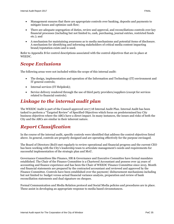- Management ensures that there are appropriate controls over banking, deposits and payments to mitigate losses and optimize cash flow;
- There are adequate segregation of duties, review and approval, and reconciliations controls over key financial processes (including but not limited to, cash, purchasing, journal entries, restricted funds etc.); and
- A mechanism for maintaining awareness as to media mechanisms and potential items of disclosure. A mechanism for identifying and informing stakeholders of critical media content impacting brand/reputation exists and is used.

Refer to Appendix B for control descriptions associated with the control objectives that are in place at WEEDC.

## *Scope Exclusions*

The following areas were not included within the scope of this internal audit:

- The design, implementation and operation of the Information and Technology (IT) environment and IT general controls;
- Internal services (IT Helpdesk);
- Service delivery rendered through the use of third party providers/suppliers (except for services related to financial controls).

## *Linkage to the internal audit plan*

The WEEDC Audit is part of the Council approved 2017/18 Internal Audit Plan. Internal Audit has been tasked to perform a "Targeted Review" of Specified Objectives which focus on predetermined key City business objectives where the ABCs have a direct impact. In many instances, the issues and risks of both the City and the ABCs are similar in their inherent nature.

## *Report Classification*

In the course of the internal audit, specific controls were identified that address the control objectives listed above. In general, controls are properly designed and are operating effectively for the purpose envisaged.

The Board of Directors (BoD) met regularly to review operational and financial progress and the current CEO has been working with the City's leadership team to articulate management's needs and requirements for successful implementation of the strategic plan and MoU.

Governance Committees like Finance, HR & Governance and Executive Committee have formal mandates established. The Chair of the Finance Committee is a Chartered Accountant and possess over 35 years of accounting and finance experience and has been the Chair of WEEDC Finance Committee since 2015. Month end financial statements are prepared by the contracted accountant and reviewed and approved by the Finance Committee. Controls have been established over the payment/ disbursement mechanisms including but not limited to: budget versus actual financial variance analysis, preparation and review of bank reconciliation statements and dual signature on cheques.

Formal Communication and Media Relation protocol and Social Media policies and procedures are in place. These assist in developing an appropriate response to media based circumstances.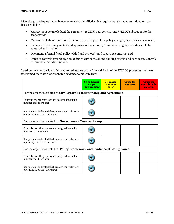A few design and operating enhancements were identified which require management attention, and are discussed below:

- Management acknowledged the agreement to MOU between City and WEEDC subsequent to the scope period
- Management should continue to acquire board approval for policy changes/new policies developed;
- Evidence of the timely review and approval of the monthly/ quarterly progress reports should be captured and retained;
- Document a formal fraud policy with fraud protocols and reporting concerns; and
- Improve controls for segregation of duties within the online banking system and user access controls within the accounting system.

Based on the controls identified and tested as part of the Internal Audit of the WEEDC processes, we have determined that there is reasonable evidence to indicate that:

|                                                                                     | <b>No or limited</b><br>scope<br><i>improvement</i>                     | No major<br>concerns<br>noted | <b>Cause for</b><br>concern | <b>Cause for</b><br>considerable<br>concern |  |  |  |  |  |
|-------------------------------------------------------------------------------------|-------------------------------------------------------------------------|-------------------------------|-----------------------------|---------------------------------------------|--|--|--|--|--|
|                                                                                     | For the objectives related to City Reporting Relationship and Agreement |                               |                             |                                             |  |  |  |  |  |
| Controls over the process are designed in such a<br>manner that there are:          |                                                                         |                               |                             |                                             |  |  |  |  |  |
| Sample tests indicated that process controls were<br>operating such that there are: |                                                                         |                               |                             |                                             |  |  |  |  |  |
| For the objectives related to Governance / Tone at the top                          |                                                                         |                               |                             |                                             |  |  |  |  |  |
| Controls over the process are designed in such a<br>manner that there are:          |                                                                         |                               |                             |                                             |  |  |  |  |  |
| Sample tests indicated that process controls were<br>operating such that there are: |                                                                         |                               |                             |                                             |  |  |  |  |  |
| For the objectives related to Policy Framework and Evidence of Compliance           |                                                                         |                               |                             |                                             |  |  |  |  |  |
| Controls over the process are designed in such a<br>manner that there are:          |                                                                         |                               |                             |                                             |  |  |  |  |  |
| Sample tests indicated that process controls were<br>operating such that there are: |                                                                         |                               |                             |                                             |  |  |  |  |  |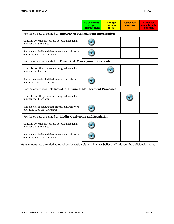|                                                                                     | <b>No or limited</b><br>scope<br>improvement | No major<br>concerns<br>noted | <b>Cause for</b><br>concern | <b>Cause for</b><br>considerable<br>concern |
|-------------------------------------------------------------------------------------|----------------------------------------------|-------------------------------|-----------------------------|---------------------------------------------|
| For the objectives related to Integrity of Management Information                   |                                              |                               |                             |                                             |
| Controls over the process are designed in such a<br>manner that there are:          |                                              |                               |                             |                                             |
| Sample tests indicated that process controls were<br>operating such that there are: |                                              |                               |                             |                                             |
| For the objectives related to Fraud Risk Management Protocols                       |                                              |                               |                             |                                             |
| Controls over the process are designed in such a<br>manner that there are:          |                                              |                               |                             |                                             |
| Sample tests indicated that process controls were<br>operating such that there are: |                                              |                               |                             |                                             |
| For the objectives relatedness d to Financial Management Processes                  |                                              |                               |                             |                                             |
| Controls over the process are designed in such a<br>manner that there are:          |                                              |                               |                             |                                             |
| Sample tests indicated that process controls were<br>operating such that there are: |                                              |                               |                             |                                             |
| For the objectives related to Media Monitoring and Escalation                       |                                              |                               |                             |                                             |
| Controls over the process are designed in such a<br>manner that there are:          |                                              |                               |                             |                                             |
| Sample tests indicated that process controls were<br>operating such that there are: |                                              |                               |                             |                                             |

Management has provided comprehensive action plans, which we believe will address the deficiencies noted**.**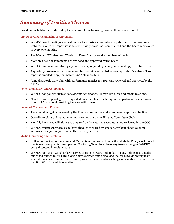Based on the fieldwork conducted by Internal Audit, the following positive themes were noted:

City Reporting Relationship & Agreement

- WEEDC board meetings are held on monthly basis and minutes are published on corporation's website. Prior to the report issuance date, this process has been changed and the Board meets once in every two months.
- The Mayor of Windsor and Warden of Essex County are the members of the board.
- Monthly financial statements are reviewed and approved by the Board.
- WEEDC has an annual strategic plan which is prepared by management and approved by the Board.
- A quarterly progress report is reviewed by the CEO and published on corporation's website. This report is emailed to approximately 8,000 stakeholders.
- Annual strategic work plan with performance metrics for 2017 was reviewed and approved by the Board.

#### Policy Framework and Compliance

- WEEDC has policies such as code of conduct, finance, Human Resource and media relations.
- New hire access privileges are requested on a template which required department head approval prior to IT personnel providing the user with access.

#### Financial Management Process

- The annual budget is reviewed by the Finance Committee and subsequently approved by Board.
- Overall oversight of finance activities is carried out by the Finance Committee Chair.
- Monthly bank reconciliations are prepared by the external accountant and reviewed by the COO.
- WEEDC practice/protocols is to have cheques prepared by someone without cheque signing authority. Cheques require two authorized signatories.

#### Media Monitoring and Escalation

- Both a Formal Communication and Media Relation protocol and a Social Media Policy exist. Social media response plan is developed for Marketing Team to address any issues arising on WEEDC being discussed in social media.
- WEEDC has set up Google Alerts service to remain aware and update on any online posts/media published related to WEEDC. Google alerts service sends emails to the WEEDC Marketing team when it finds new results—such as web pages, newspaper articles, blogs, or scientific research—that mention WEEDC and its operations.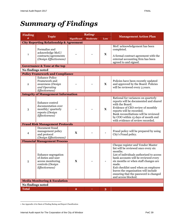## *Summary of Findings*

| <b>Finding</b>    | Rating <sup>1</sup>                                                                                  |                         |                 |             |                                                                                                                                                                                                                                                                                                                                                                           |
|-------------------|------------------------------------------------------------------------------------------------------|-------------------------|-----------------|-------------|---------------------------------------------------------------------------------------------------------------------------------------------------------------------------------------------------------------------------------------------------------------------------------------------------------------------------------------------------------------------------|
| #                 | <b>Topic</b>                                                                                         | <b>Significant</b>      | <b>Moderate</b> | Low         | <b>Management Action Plan</b>                                                                                                                                                                                                                                                                                                                                             |
|                   | <b>City Reporting Relationship &amp; Agreement</b>                                                   |                         |                 |             |                                                                                                                                                                                                                                                                                                                                                                           |
| $\mathbf{1}$      | Formalize and<br>acknowledge MoU/<br>contracts/agreements<br>(Design Effectiveness)                  |                         |                 | $\mathbf X$ | MoU acknowledgement has been<br>completed.<br>A formal contract agreement with the<br>external accounting firm has been<br>agreed to and signed.                                                                                                                                                                                                                          |
|                   | <b>Governance &amp; Tone at the top</b>                                                              |                         |                 |             |                                                                                                                                                                                                                                                                                                                                                                           |
| No findings noted |                                                                                                      |                         |                 |             |                                                                                                                                                                                                                                                                                                                                                                           |
|                   | <b>Policy Framework and Compliance</b>                                                               |                         |                 |             |                                                                                                                                                                                                                                                                                                                                                                           |
| $\mathbf{2}$      | <b>Enhance Policy</b><br>Framework and<br>awareness (Design<br>and Operating<br>Effectiveness)       |                         |                 | $\mathbf X$ | Policies have been recently updated<br>and approved by the Board. Policies<br>will be reviewed every 3 years.                                                                                                                                                                                                                                                             |
|                   | <b>Integrity of Management Information</b>                                                           |                         |                 |             |                                                                                                                                                                                                                                                                                                                                                                           |
| 3                 | Enhance control<br>documentation over<br>monthly/ quarterly<br>reports (Design<br>Effectiveness)     |                         |                 | $\mathbf X$ | Rational for variances on quarterly<br>reports will be documented and shared<br>with the Board.<br>Evidence of CEO review of monthly<br>reports will be recorded.<br>Bank reconciliations will be reviewed<br>by COO within 15 days of month end<br>with evidence of review recorded.                                                                                     |
|                   | <b>Fraud Risk Management Protocols</b>                                                               |                         |                 |             |                                                                                                                                                                                                                                                                                                                                                                           |
| 4                 | Document fraud<br>management policy<br>and protocol<br>(Design Effectiveness)                        | $\mathbf X$             |                 |             | Fraud policy will be prepared by using<br>City's Fraud policy.                                                                                                                                                                                                                                                                                                            |
|                   | <b>Financial Management Process</b>                                                                  |                         |                 |             |                                                                                                                                                                                                                                                                                                                                                                           |
| 5                 | Enhance segregation<br>of duties and user<br>access monitoring<br>controls (Design<br>Effectiveness) | $\mathbf X$             |                 |             | Cheque register and Vendor Master<br>list will be reviewed once every six<br>months.<br>List of individuals authorized to access<br>bank accounts will be reviewed every<br>six months or when staff changes are<br>made.<br>Exit checklist used when an employee<br>leaves the organization will include<br>ensuring that the password is changed<br>and access blocked. |
|                   | <b>Media Monitoring &amp; Escalation</b>                                                             |                         |                 |             |                                                                                                                                                                                                                                                                                                                                                                           |
| No findings noted |                                                                                                      |                         |                 |             |                                                                                                                                                                                                                                                                                                                                                                           |
| <b>Total</b>      |                                                                                                      | $\overline{\mathbf{2}}$ |                 | 3           |                                                                                                                                                                                                                                                                                                                                                                           |

<sup>1</sup> See Appendix A for Basis of Finding Rating and Report Classification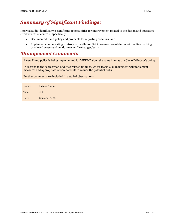### *Summary of Significant Findings:*

Internal audit identified two significant opportunities for improvement related to the design and operating effectiveness of controls, specifically:

- Documented fraud policy and protocols for reporting concerns; and
- Implement compensating controls to handle conflict in segregation of duties with online banking, privileged access and vendor master file changes/edits.

#### *Management Comments*

A new Fraud policy is being implemented for WEEDC along the same lines as the City of Windsor's policy.

In regards to the segregation of duties related findings, where feasible, management will implement measures and appropriate review controls to reduce the potential risks.

Further comments are included in detailed observations.

| Name:  | Rakesh Naidu            |
|--------|-------------------------|
| Title: | COO                     |
| Date:  | <b>January 10, 2018</b> |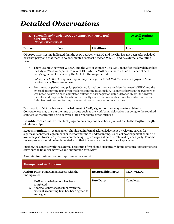## *Detailed Observations*

| <b>Formally acknowledge MoU/signed contracts and</b><br>1.<br><i>agreements</i><br>(Design Effectiveness) | <b>Overall Rating:</b><br>Low                                                                                                                                                                                                                                                                                                                                                                                                                                                           |                  |           |  |  |  |
|-----------------------------------------------------------------------------------------------------------|-----------------------------------------------------------------------------------------------------------------------------------------------------------------------------------------------------------------------------------------------------------------------------------------------------------------------------------------------------------------------------------------------------------------------------------------------------------------------------------------|------------------|-----------|--|--|--|
| Impact:                                                                                                   | Likelihood:<br>Low                                                                                                                                                                                                                                                                                                                                                                                                                                                                      |                  |           |  |  |  |
| firm.                                                                                                     | Observation: Testing indicated that the MoU between WEEDC and the City has not been acknowledged<br>by either party and that there is no documented contract between WEEDC and its external accounting                                                                                                                                                                                                                                                                                  |                  |           |  |  |  |
| $\bullet$                                                                                                 | There is a MoU between WEEDC and the City of Windsor. This MoU identifies the key deliverables<br>the City of Windsor expects from WEEDC. While a MoU exists there was no evidence of each<br>party's agreement to abide by the MoU for the scope period.                                                                                                                                                                                                                               |                  |           |  |  |  |
| resolved as of December 8, 2017.                                                                          | Subsequent to the closing meeting management provided IA that this evidence gap had been                                                                                                                                                                                                                                                                                                                                                                                                |                  |           |  |  |  |
| $\bullet$                                                                                                 | For the scope period, and prior periods, no formal contract was evident between WEEDC and the<br>external accounting firm given the long standing relationship. A contract between the two parties<br>was noted as having been completed outside the scope period dated October 26, 2017; however,<br>the roles and responsibilities did not explicitly state timelines or deadlines for certain activities.<br>Refer to consideration for improvement #2 regarding vendor evaluations. |                  |           |  |  |  |
|                                                                                                           | <b>Implication:</b> Not having an acknowledgment of MoU/ signed contract may create ambiguity.<br>Consequences may arise at the time of dispute such as the work being delayed or not being to the required<br>standard or the product being delivered late or not being fit for purpose.                                                                                                                                                                                               |                  |           |  |  |  |
| of relationships.                                                                                         | <b>Possible root cause:</b> Formal MoU/ agreements may not have been pursued due to the length/strength                                                                                                                                                                                                                                                                                                                                                                                 |                  |           |  |  |  |
|                                                                                                           | <b>Recommendation:</b> Management should retain formal acknowledgement by relevant parties for<br>significant contracts, agreements or memorandums of understanding. Such acknowledgement should be<br>available prior to service provision commencing. Signed copies should be retained by each party. Periodic<br>review process should be implemented such that the service expectations are kept current.                                                                           |                  |           |  |  |  |
|                                                                                                           | Further, the contract with the external accounting firm should specifically define timelines/expectations to<br>carry out the financial activities and submission for review.                                                                                                                                                                                                                                                                                                           |                  |           |  |  |  |
|                                                                                                           | Also refer to consideration for improvement $# 1$ and $#2$                                                                                                                                                                                                                                                                                                                                                                                                                              |                  |           |  |  |  |
| <b>Management Action Plan</b>                                                                             |                                                                                                                                                                                                                                                                                                                                                                                                                                                                                         |                  |           |  |  |  |
| findings and:                                                                                             | <b>Responsible Party:</b><br>CEO, WEEDC<br><b>Action Plan:</b> Management agrees with the                                                                                                                                                                                                                                                                                                                                                                                               |                  |           |  |  |  |
| MoU acknowledgement has been<br>1.<br>completed.<br>2.<br>and signed.                                     | A formal contract agreement with the<br>external accounting firm has been agreed to                                                                                                                                                                                                                                                                                                                                                                                                     | <b>Due Date:</b> | Completed |  |  |  |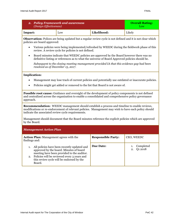| 2. Policy Framework and awareness<br>(Design Effectiveness)                                                |     |             | <b>Overall Rating:</b><br>Low. |
|------------------------------------------------------------------------------------------------------------|-----|-------------|--------------------------------|
| Impact:                                                                                                    | Low | Likelihood: | Likely                         |
| Observation: Polices are being undated but a regular review cycle is not defined and it is not clear which |     |             |                                |

**n:** Polices are being updated but a regular review cycle is not defined and it is not clear which policies are board approved:

- Various policies were being implemented/refreshed by WEEDC during the fieldwork phase of this review. A review cycle for policies is not defined.
- Board minutes indicate that WEEDC policies are approved by the Board however there was no definitive listing or references as to what the universe of Board Approved policies should be.

*Subsequent to the closing meeting management provided IA that this evidence gap had been resolved as of December 15, 2017.* 

#### **Implication:**

- Management may lose track of current policies and potentially use outdated or inaccurate policies.
- Policies might get added or removed to the list that Board is not aware of.

**Possible root cause:** Guidance and oversight of the development of policy components is not defined and centralized across the organization to enable a consolidated and comprehensive policy governance approach.

**Recommendation:** WEEDC management should establish a process and timeline to enable reviews, modifications or re-endorcement of relevant policies. Management may wish to have each policy should indicate the associated review cycle requirements.

Management should document that the Board minutes reference the explicit policies which are approved by the Board.

| <b>Management Action Plan</b>                                                                                                                                                                                                                 |                           |                            |  |  |  |
|-----------------------------------------------------------------------------------------------------------------------------------------------------------------------------------------------------------------------------------------------|---------------------------|----------------------------|--|--|--|
| <b>Action Plan:</b> Management agrees with the<br>findings and:                                                                                                                                                                               | <b>Responsible Party:</b> | CEO, WEEDC                 |  |  |  |
| All policies have been recently updated and<br>approved by the board. Minutes of board<br>meeting have been provided to the auditor.<br>2. Policies will be reviewed every 3 years and<br>this review cycle will be endorsed by the<br>Board. | Due Date:                 | Completed<br>Q1 2018<br>2. |  |  |  |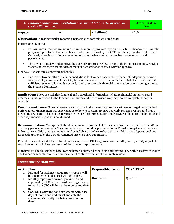| 3. Enhance control documentation over monthly/quarterly reports<br><b>Overall Rating</b><br>(Design Effectiveness)<br>Low                                                                                                                                                                                                                                                                                              |                                                                                                                                                                                                                                                                                                                 |                                                                                                                                                                                                                                                                                                                                |         |  |  |
|------------------------------------------------------------------------------------------------------------------------------------------------------------------------------------------------------------------------------------------------------------------------------------------------------------------------------------------------------------------------------------------------------------------------|-----------------------------------------------------------------------------------------------------------------------------------------------------------------------------------------------------------------------------------------------------------------------------------------------------------------|--------------------------------------------------------------------------------------------------------------------------------------------------------------------------------------------------------------------------------------------------------------------------------------------------------------------------------|---------|--|--|
| Impact:                                                                                                                                                                                                                                                                                                                                                                                                                | Low                                                                                                                                                                                                                                                                                                             | Likelihood                                                                                                                                                                                                                                                                                                                     | Likely  |  |  |
| <b>Observation:</b> In testing regular reporting/performance controls we noted that:                                                                                                                                                                                                                                                                                                                                   |                                                                                                                                                                                                                                                                                                                 |                                                                                                                                                                                                                                                                                                                                |         |  |  |
| Performance Reports:                                                                                                                                                                                                                                                                                                                                                                                                   |                                                                                                                                                                                                                                                                                                                 |                                                                                                                                                                                                                                                                                                                                |         |  |  |
| performance.                                                                                                                                                                                                                                                                                                                                                                                                           | Performance measures are monitored in the monthly progress reports. Department heads send monthly<br>progress report to the Executive Liaison which is reviewed by the COO and then presented to the Board.<br>Currently there is no rationale documented as to the basis for variances from targeted to actual |                                                                                                                                                                                                                                                                                                                                |         |  |  |
| $\bullet$                                                                                                                                                                                                                                                                                                                                                                                                              |                                                                                                                                                                                                                                                                                                                 | The CEO is to review and approve the quarterly progress reviews prior to their publication on WEEDC's<br>website however, we did not detect independent evidence of this review or approval.                                                                                                                                   |         |  |  |
| Financial Reports and Supporting Schedules:                                                                                                                                                                                                                                                                                                                                                                            |                                                                                                                                                                                                                                                                                                                 |                                                                                                                                                                                                                                                                                                                                |         |  |  |
| $\bullet$<br>the Finance Committee.                                                                                                                                                                                                                                                                                                                                                                                    |                                                                                                                                                                                                                                                                                                                 | In a test of two months of bank reconciliations for two bank accounts, evidence of independent review<br>was present (i.e. initials of the COO) however, no evidence of timeliness was noted. There is a risk that<br>sufficient review/follow up is not performed over monthly financial information prior to being issued to |         |  |  |
| <b>Implication:</b> There is a risk that financial and operational information including financial statements and<br>progress reports provided to the Finance Committee and Board respectively may not be complete, timely or<br>accurate.                                                                                                                                                                             |                                                                                                                                                                                                                                                                                                                 |                                                                                                                                                                                                                                                                                                                                |         |  |  |
| Possible root cause: No requirement is set in place to document reasons for variance for target versus actual<br>performance. Management has experience as to how to present/prepare quarterly progress reports and thus a<br>formal review/sign-off has not been warranted. Specific parameters for timely review of bank reconciliations (and<br>other key financial reports) is not defined.                        |                                                                                                                                                                                                                                                                                                                 |                                                                                                                                                                                                                                                                                                                                |         |  |  |
| <b>Recommendation:</b> Management should document the rationale for variances (within a defined threshold) on<br>quarterly performance reports. This quarterly report should be presented to the Board to keep the members well<br>informed. In addition, management should establish a procedure to have the monthly reports (operational and<br>financial) approval by the CEO documented prior to Board submission. |                                                                                                                                                                                                                                                                                                                 |                                                                                                                                                                                                                                                                                                                                |         |  |  |
| Procedure should be established to retain the evidence of CEO's approval over monthly and quarterly reports to<br>record an audit trail. Also refer to consideration for improvement #1.                                                                                                                                                                                                                               |                                                                                                                                                                                                                                                                                                                 |                                                                                                                                                                                                                                                                                                                                |         |  |  |
| Management should establish bank reconciliation policy and should set a timeframe (i.e., within 15 days of month<br>end) to perform bank reconciliation review and capture evidence of the timely review.                                                                                                                                                                                                              |                                                                                                                                                                                                                                                                                                                 |                                                                                                                                                                                                                                                                                                                                |         |  |  |
| <b>Management Action Plan</b>                                                                                                                                                                                                                                                                                                                                                                                          |                                                                                                                                                                                                                                                                                                                 |                                                                                                                                                                                                                                                                                                                                |         |  |  |
| <b>Action Plan:</b><br>1.                                                                                                                                                                                                                                                                                                                                                                                              | CEO, WEEDC<br><b>Responsible Party:</b><br>Rational for variances on quarterly reports will                                                                                                                                                                                                                     |                                                                                                                                                                                                                                                                                                                                |         |  |  |
| be documented and shared with the Board.<br>Monthly reports are currently reviewed and<br>2.<br>it.                                                                                                                                                                                                                                                                                                                    | approved by CEO before board meetings. Going<br>forward the CEO will initial the reports and date                                                                                                                                                                                                               | <b>Due Date:</b>                                                                                                                                                                                                                                                                                                               | Q1 2018 |  |  |
| 3.<br>days of month end and initial and date the<br>statement. Currently it is being done but not<br>dated.                                                                                                                                                                                                                                                                                                            | COO will review the bank statements within 15                                                                                                                                                                                                                                                                   |                                                                                                                                                                                                                                                                                                                                |         |  |  |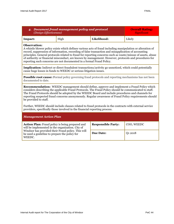| 4. Document fraud management policy and protocol<br>(Design Effectiveness)                                                                                                                                                                                                                                                                                                                                                                                                                                                              |      |             | <b>Overall Rating:</b><br><b>Significant</b> |  |  |  |
|-----------------------------------------------------------------------------------------------------------------------------------------------------------------------------------------------------------------------------------------------------------------------------------------------------------------------------------------------------------------------------------------------------------------------------------------------------------------------------------------------------------------------------------------|------|-------------|----------------------------------------------|--|--|--|
| Impact:                                                                                                                                                                                                                                                                                                                                                                                                                                                                                                                                 | High | Likelihood: | Likely                                       |  |  |  |
| <b>Observation:</b><br>A whistle blower policy exists which defines various acts of fraud including manipulation or alteration of<br>record, suppression of information, recording of false transaction and misapplication of accounting<br>principles. General protocols related to fraud for reporting concerns such as waste/misuse of assets, abuse<br>of authority or financial misconduct, are known by management. However, protocols and procedures for<br>reporting such concerns are not documented in a formal Fraud Policy. |      |             |                                              |  |  |  |
| <b>Implication:</b> Indirect or direct fraudulent transactions/activity go unnoticed, which could potentially<br>cause huge losses in funds to WEEDC or serious litigation issues.                                                                                                                                                                                                                                                                                                                                                      |      |             |                                              |  |  |  |
| <b>Possible root cause:</b> Formal policy governing fraud protocols and reporting mechanisms has not been<br>documented to date.                                                                                                                                                                                                                                                                                                                                                                                                        |      |             |                                              |  |  |  |
| <b>Recommendation:</b> WEEDC management should define, approve and implement a Fraud Policy which<br>considers describing the applicable Fraud Protocols. The Fraud Policy should be communicated to staff.<br>The Fraud Protocols should be adopted by the WEEDC Board and include procedures and channels for<br>reporting suspected fraud concerns anonymously. Regular awareness of Fraud Policy requirements should<br>be provided to staff.                                                                                       |      |             |                                              |  |  |  |

Further, WEEDC should include clauses related to fraud protocols in the contracts with external service providers, specifically those involved in the financial reporting process.

| <b>Management Action Plan</b>                                                                                 |                           |            |  |
|---------------------------------------------------------------------------------------------------------------|---------------------------|------------|--|
| <b>Action Plan:</b> Fraud policy is being prepared and<br>will be implemented in the organization. City of    | <b>Responsible Party:</b> | COO, WEEDC |  |
| Windsor has provided their Fraud policy. This will<br>be used a guideline to prepare the policy for<br>WEEDC. | Due Date:                 | 01 2018    |  |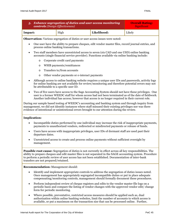| 5. Enhance segregation of duties and user access monitoring<br>controls (Design Effectiveness) |  |  | <b>Overall Rating:</b><br>Significant |
|------------------------------------------------------------------------------------------------|--|--|---------------------------------------|
| Likelihood:<br>High<br>Impact:                                                                 |  |  | Likely                                |
|                                                                                                |  |  |                                       |

**Observation:** Various segregation of duties or user access issues were noted:

- One user have the ability to prepare cheques, edit vendor master files, record journal entries, and process online banking transactions.
- Two staff members have unrestricted access to seven (six CAD and one USD) online banking accounts (single financial service provider). Functions available via online banking include:
	- o Corporate credit card payments
	- o WSIB payments/remittances
	- o Transfers to/from accounts
	- o Other vendor payments or e-interact payments
- Although access to online banking website requires a unique user IDs and passwords, activity logs for online banking are not available for review/monitoring and therefore potential errors may not be attributable to a specific user ID.
- Two of five users have access to the Sage Accounting System should not have these privileges. One user is a former WEEDC staff for whom access had not been terminated as of the date of fieldwork. Another individual has access; however that access is no longer required in their current role.

During our sample based testing of WEEDC's accounting and banking system and through inquiry from management, we did not identify instances where staff misused their existing privileges nor was there evidence of intentional or unintentional errors brought to our attention during the review.

#### **Implication:**

- Incompatible duties performed by one individual may increase the risk of inappropriate payments, payments to unauthorized vendors, redirected or misdirected payments or release of funds.
- Users have access with inappropriate privileges, user IDs of dormant staff are used past their departure dates.
- Unrestricted access to create and process online payments without sufficient oversight by management.

**Possible root cause:** Segregation of duties is not currently in effect across all key responsibilities. The ability to prepare cheques and edit master files is not separated in the SAGE accounting system. Procedure to perform a periodic review of user access has not been established. Documentation of inter-bank transfers are not prepared/retained.

#### **Recommendation:** Management should:

- Identify and implement appropriate controls to address the segregation of duties issues noted. Once management has appropriately segregated incompatible duties or put in place adequate compensating/monitoring controls, management should formally document these procedures.
- Perform independent review of cheque registers and edits to the vendor master file logs on a periodic basis and compare the listing of vendor changes with the approved vendor edit/ change form for periodic monitoring.
- Where possible, preventative, restricted access measures should be applied such as, dual authorization within online banking websites, limit the number of accounts to which access is available, or put a maximum on the transaction size that can be processed online. Further,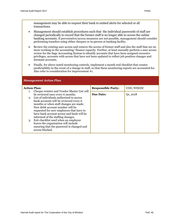*Management Action Plan*

management may be able to request their bank to embed alerts for selected or all transactions.

- Management should establish procedures such that the individual passwords of staff are changed periodically to record that the former staff is no longer able to access the online banking accounts. If preventative/access measures are not possible, management should consider performing transfers using either cheques or in-person at banking facility.
- Review the existing user access and remove the access of former staff and also the staff that are no more working in the accounting/ finance capacity. Further, at least annually perform a user access review for the Sage Accounting System to identify accounts that have been assigned excessive privileges, accounts with access that have not been updated to reflect job position changes and dormant accounts.
- Finally, for above noted monitoring controls, implement a month end checklist that creates predictability in the event of a change in staff, so that these monitoring reports are accounted for. Also refer to consideration for improvement #1.

| <b>Action Plan:</b> | <b>Responsible Party:</b>                                                                                                                                                                                                                                                                                                                                                                                                                                            | COO, WEEDC       |          |
|---------------------|----------------------------------------------------------------------------------------------------------------------------------------------------------------------------------------------------------------------------------------------------------------------------------------------------------------------------------------------------------------------------------------------------------------------------------------------------------------------|------------------|----------|
| 1.<br>3.            | Cheque resister and Vendor Master List will<br>be reviewed once every 6 months.<br>2. List of individuals authorized to access<br>bank accounts will be reviewed every 6<br>months or when staff changes are made.<br>New debit account number will be<br>requested for new employees that have to<br>have bank account access and bank will be<br>informed of the staffing changes.<br>Exit checklist used when an employee<br>leaves the organization will include | <b>Due Date:</b> | Q1, 2018 |
|                     | ensuring that the password is changed and<br>access blocked.                                                                                                                                                                                                                                                                                                                                                                                                         |                  |          |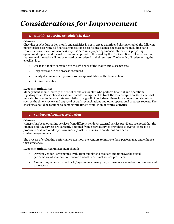## *Considerations for Improvement*

#### **1. Monthly Reporting Schedule/Checklist**

#### **Observation**:

Checklist or schedule of key month end activities is not in effect. Month end closing entailed the following major tasks: recording all financial transactions, reconciling balance sheet accounts including bank reconciliations, review of income & expense accounts, preparing financial statements, preparing operational reports and formal review and approval of this work by the COO and Board. There is a risk that some of the tasks will not be missed or completed in their entirety. The benefit of implementing the checklist is to:

- Use it as a tool to contribute to the efficiency of the month end close process
- Keep everyone in the process organized
- Clearly document each person's role/responsibilities of the tasks at hand
- Outline due dates

#### **Recommendations**:

Management should leverage the use of checklists for staff who perform financial and operational reporting tasks. These checklists should enable management to track the task completion. Such checklists may also be used to demonstrate completion or signoff of period-end financial and operational controls, such as the timely review and approval of bank reconciliations and other operational progress reports. The checklists should be retained to demonstrate timely completion of control activities.

#### **2. Vendor Performance Evaluation**

#### **Observation**:

WEEDC has been obtaining services from different vendors/ external service providers. We noted that the Finance and HR services are currently obtained from external service providers. However, there is no process to evaluate vendor performance against the terms and conditions outlined in contracts/agreements.

The process of evaluating performance can motivate vendors to improve their performance and enhance their efficiency.

**Recommendations**: Management should:

- Develop Vendor Performance Evaluation template to evaluate and improve the overall performance of vendors, contractors and other external service providers.
- Assess compliance with contracts/ agreements during the performance evaluations of vendors and contractors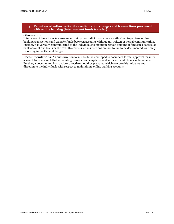#### **Observation**:

Inter account bank transfers are carried out by two individuals who are authorized to perform online banking transactions and transfer funds between accounts without any written or verbal communication. Further, it is verbally communicated to the individuals to maintain certain amount of funds in a particular bank account and transfer the rest. However, such instructions are not found to be documented for timely recording in the General Ledger.

**Recommendations**: An authorization form should be developed to document formal approval for inter account transfers such that accounting records can be updated and sufficient audit trail can be retained. Further, a documented instruction/ directive should be prepared which can provide guidance and direction to the individuals with respect to maintaining online banking accounts.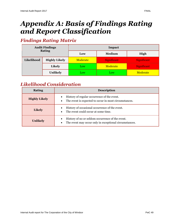## *Appendix A: Basis of Findings Rating and Report Classification*

## *Findings Rating Matrix*

| <b>Audit Findings</b><br><b>Rating</b> |                      | Impact   |                    |             |
|----------------------------------------|----------------------|----------|--------------------|-------------|
|                                        |                      | Low      | Medium             | High        |
| Likelihood                             | <b>Highly Likely</b> | Moderate | <b>Significant</b> | Significant |
|                                        | <b>Likely</b>        | Low      | Moderate           | Significant |
|                                        | <b>Unlikely</b>      | Low      | Low                | Moderate    |

### *Likelihood Consideration*

| <b>Rating</b>        | <b>Description</b>                                                                                                      |
|----------------------|-------------------------------------------------------------------------------------------------------------------------|
| <b>Highly Likely</b> | History of regular occurrence of the event.<br>The event is expected to occur in most circumstances.<br>$\bullet$       |
| <b>Likely</b>        | History of occasional occurrence of the event.<br>$\bullet$<br>The event could occur at some time.<br>$\bullet$         |
| <b>Unlikely</b>      | History of no or seldom occurrence of the event.<br>The event may occur only in exceptional circumstances.<br>$\bullet$ |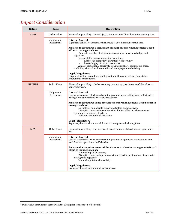## *Impact Consideration*

| <b>Rating</b> | <b>Basis</b>              | <b>Description</b>                                                                                                                                                                                                                                                                                                                                                                                                                                                                        |
|---------------|---------------------------|-------------------------------------------------------------------------------------------------------------------------------------------------------------------------------------------------------------------------------------------------------------------------------------------------------------------------------------------------------------------------------------------------------------------------------------------------------------------------------------------|
| <b>HIGH</b>   | Dollar Value <sup>2</sup> | Financial impact likely to exceed \$250,000 in terms of direct loss or opportunity cost.                                                                                                                                                                                                                                                                                                                                                                                                  |
|               | Judgmental<br>Assessment  | <b>Internal Control</b><br>Significant control weaknesses, which would lead to financial or fraud loss.                                                                                                                                                                                                                                                                                                                                                                                   |
|               |                           | An issue that requires a significant amount of senior management/Board<br>effort to manage such as:<br>Failure to meet key strategic objectives/major impact on strategy and<br>objectives.<br>Loss of ability to sustain ongoing operations:<br>Loss of key competitive advantage / opportunity<br>Loss of supply of key process inputs<br>A major reputational sensitivity e.g., Market share, earnings per share,<br>credibility with stakeholders and brand name/reputation building. |
|               |                           | <b>Legal / Regulatory</b><br>Large scale action, major breach of legislation with very significant financial or<br>reputational consequences.                                                                                                                                                                                                                                                                                                                                             |
| <b>MEDIUM</b> | Dollar Value              | Financial impact likely to be between \$75,000 to \$250,000 in terms of direct loss or<br>opportunity cost.                                                                                                                                                                                                                                                                                                                                                                               |
|               | Judgmental<br>Assessment  | <b>Internal Control</b><br>Control weaknesses, which could result in potential loss resulting from inefficiencies,<br>wastage, and cumbersome workflow procedures.                                                                                                                                                                                                                                                                                                                        |
|               |                           | An issue that requires some amount of senior management/Board effort to<br>manage such as:<br>No material or moderate impact on strategy and objectives.<br>Disruption to normal operation with a limited effect on achievement of<br>corporate strategy and objectives<br>Moderate reputational sensitivity.                                                                                                                                                                             |
|               |                           | <b>Legal</b> / Regulatory<br>Regulatory breach with material financial consequences including fines.                                                                                                                                                                                                                                                                                                                                                                                      |
| LOW           | Dollar Value              | Financial impact likely to be less than \$75,000 in terms of direct loss or opportunity<br>cost.                                                                                                                                                                                                                                                                                                                                                                                          |
|               | Judgmental<br>Assessment  | <b>Internal Control</b><br>Control weaknesses, which could result in potential insignificant loss resulting from<br>workflow and operational inefficiencies.<br>An issue that requires no or minimal amount of senior management/Board<br>effort to manage such as:                                                                                                                                                                                                                       |
|               |                           | Minimal impact on strategy<br>Disruption to normal operations with no effect on achievement of corporate<br>strategy and objectives<br>Minimal reputational sensitivity.                                                                                                                                                                                                                                                                                                                  |
|               |                           | <b>Legal</b> / Regulatory<br>Regulatory breach with minimal consequences.                                                                                                                                                                                                                                                                                                                                                                                                                 |

 $^{\rm 2}$  Dollar value amounts are agreed with the client prior to execution of fieldwork.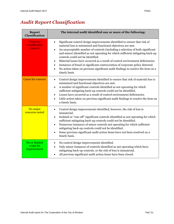## *Audit Report Classification*

| <b>Report</b><br><b>Classification</b>      | The internal audit identified one or more of the following:                                                                                                                                                                                                                                                                                                                                                                                                                                                                                                                                                                                         |
|---------------------------------------------|-----------------------------------------------------------------------------------------------------------------------------------------------------------------------------------------------------------------------------------------------------------------------------------------------------------------------------------------------------------------------------------------------------------------------------------------------------------------------------------------------------------------------------------------------------------------------------------------------------------------------------------------------------|
| <b>Cause for</b><br>considerable<br>concern | Significant control design improvements identified to ensure that risk of<br>material loss is minimized and functional objectives are met.<br>An unacceptable number of controls (including a selection of both significant<br>and minor) identified as not operating for which sufficient mitigating back-up<br>controls could not be identified.<br>Material losses have occurred as a result of control environment deficiencies.<br>$\bullet$<br>Instances of fraud or significant contravention of corporate policy detected.<br>$\bullet$<br>No action taken on previous significant audit findings to resolve the item on a<br>timely basis. |
| <b>Cause for concern</b>                    | Control design improvements identified to ensure that risk of material loss is<br>minimized and functional objectives are met.<br>A number of significant controls identified as not operating for which<br>$\bullet$<br>sufficient mitigating back-up controls could not be identified.<br>Losses have occurred as a result of control environment deficiencies.<br>Little action taken on previous significant audit findings to resolve the item on<br>$\bullet$<br>a timely basis.                                                                                                                                                              |
| No major<br>concerns noted                  | Control design improvements identified, however, the risk of loss is<br>immaterial.<br>Isolated or "one-off" significant controls identified as not operating for which<br>$\bullet$<br>sufficient mitigating back-up controls could not be identified.<br>Numerous instances of minor controls not operating for which sufficient<br>$\bullet$<br>mitigating back-up controls could not be identified.<br>Some previous significant audit action items have not been resolved on a<br>timely basis.                                                                                                                                                |
| No or limited<br>scope for<br>improvement   | No control design improvements identified.<br>Only minor instances of controls identified as not operating which have<br>$\bullet$<br>mitigating back-up controls, or the risk of loss is immaterial.<br>All previous significant audit action items have been closed.                                                                                                                                                                                                                                                                                                                                                                              |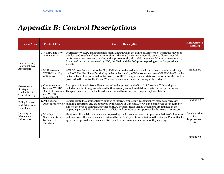## *Appendix B: Control Descriptions*

| <b>Review Area</b>                                          | <b>Control Title</b>                                                                      | <b>Control Description</b>                                                                                                                                                                                                                                                                                                                                                                                                                                 | <b>Reference to</b><br><b>Finding</b>     |
|-------------------------------------------------------------|-------------------------------------------------------------------------------------------|------------------------------------------------------------------------------------------------------------------------------------------------------------------------------------------------------------------------------------------------------------------------------------------------------------------------------------------------------------------------------------------------------------------------------------------------------------|-------------------------------------------|
| <b>City Reporting</b><br>Relationship &<br>Agreement        | 1. WEEDC and City<br>Agreement(s)                                                         | Oversight of WEEDC management is maintained through the Board of Directors, of which the Mayor of<br>Windsor and Warden of Essex County sit on. The Board meets on a monthly basis to discuss monthly<br>performance measures and metrics, and approve monthly financial statements. Minutes are recorded by<br>Executive Liaison and reviewed by CEO, the Chair and the BoD prior to posting on the Corporation's<br>website.                             |                                           |
|                                                             | 2. MoU between<br><b>WEEDC</b> and City<br>of Windsor                                     | WEEDC provides updates to the City of Windsor on the various strategic initiatives and metrics through<br>the MoU. The MoU identifies the key deliverables the City of Windsor expects from WEEDC. MoU and its<br>deliverables will be presented to the Board of WEEDC for approval and status on items in the MoU will be<br>provided to the CAO of the City of Windsor on an annual basis, beginning at the end of 2017.                                 | Finding $#1$                              |
| Governance,<br>Strategic<br>Leadership &<br>Tone at the top | 3. Communication<br>between WEEDC<br><b>Board of Directors</b><br>and WEEDC<br>Management | Each year a Strategic Work Plan is created and approved by the Board of Directors. This work plan<br>includes details of progress achieved in the current year and establishes targets for the upcoming year.<br>This plan is reviewed, by the board, on an annual basis to ensure proper implementation.                                                                                                                                                  |                                           |
| <b>Policy Framework</b><br>and Evidence of<br>Compliance    | 4. Policies and                                                                           | Policies related to confidentiality, conflict of interest, employee's' responsibility, privacy, hiring, cash<br>Procedures Review handling, reporting, etc. are approved by the Board of Directors. Newly hired employees are required to<br>sign-off the code of conduct and other WEEDC policies. These signed documents are retained in the<br>employee personal file. All revisions to policies and procedures are approved by the Board of Directors. | Finding $#2$                              |
| Integrity of<br>Management<br>Information                   | 5. Monthly<br><b>Statement Review</b><br>by Board of<br>Directors                         | Month-end financial statements are prepared by the External Accountant upon completion of all month-<br>end processes. The statements are reviewed by the COO prior to submission to the Finance Committee for<br>approval. Approved statements are distributed to the Board members at monthly meetings.                                                                                                                                                  | Consideration<br>for<br>Improvement<br>#1 |
|                                                             |                                                                                           |                                                                                                                                                                                                                                                                                                                                                                                                                                                            | Finding $#3$                              |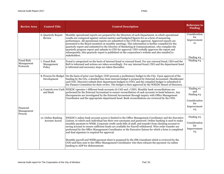| <b>Review Area</b>                           | <b>Control Title</b>                        | <b>Control Description</b>                                                                                                                                                                                                                                                                                                                                                                                                                                                                                                                                                                                                                                                                                                            | Reference to<br><b>Finding</b>                                                   |
|----------------------------------------------|---------------------------------------------|---------------------------------------------------------------------------------------------------------------------------------------------------------------------------------------------------------------------------------------------------------------------------------------------------------------------------------------------------------------------------------------------------------------------------------------------------------------------------------------------------------------------------------------------------------------------------------------------------------------------------------------------------------------------------------------------------------------------------------------|----------------------------------------------------------------------------------|
|                                              | 6. Quarterly Report<br>Review               | Monthly operational reports are prepared by the Directors of each Department, in which operational<br>results are compared against various metrics and budgeted figures for as a form of measuring<br>performance. All operational reports are submitted to the COO for approval. Approved reports are<br>presented to the Board members at monthly meetings. This information is further compiled for the<br>quarterly report and submitted to the Director of Marketing & Communications, who compiles the<br>quarterly progress report and submits to CEO for approval. CEO verbally approves the report and<br>subsequently, this quarterly report is published on the corporation's website and also emailed to<br>stakeholders. | Consideration<br>for<br>Improvement<br>#1                                        |
| <b>Fraud Risk</b><br>Management<br>Protocols | 7. Fraud Risk<br>Management<br>Policy       | Fraud is categorized on the basis of internal fraud or external fraud. For any external fraud, CEO and the<br>BoD is informed and actions are taken accordingly. For any internal fraud, CEO and the department head<br>is informed and necessary steps are taken thereafter.                                                                                                                                                                                                                                                                                                                                                                                                                                                         | Finding $#3$<br>Finding $#4$                                                     |
| Financial<br>Management<br>Process           | 8. Process for Budget<br>Development        | On the basis of prior year budget, COO presents a preliminary budget to the City. Upon approval of the<br>funding by the City, a detailed line-item internal budget is prepared by External Accountant /Bookkeeper<br>and COO. Directors submit their department budgets to COO, and the compiled budget is submitted to<br>the Finance Committee for their review. The budget is then approved by the WEEDC Board of Directors.                                                                                                                                                                                                                                                                                                      |                                                                                  |
|                                              | and Bank                                    | 9. Controls over Cash WEEDC operates 7 different bank accounts (6 CAD and 1 USD). Monthly bank reconciliations are<br>performed by the External Accountant to ensure reconciliation of cash accounts to bank balances. Any<br>discrepancies are investigated by the External Accountant through inquiry with Office Management<br>Coordinator and the appropriate department head. Bank reconciliations are reviewed by the COO.                                                                                                                                                                                                                                                                                                      | Finding $#1$<br>and<br>Finding $#3$<br>Consideration<br>for<br>Improvement<br>#3 |
|                                              | 10. Online Banking<br><b>Account Access</b> | WEEDC's online bank account access is limited to the Office Management Coordinator and the Executive<br>Liaison, to which each individual has their own username and password. Online banking is used to make<br>monthly payment to WSIB, Corporate credit cards bills of staff, and transfer from checking account to<br>saving account to ensure sufficient funds are available for Payroll withdrawal. Wire order transfer are<br>performed by the Office Management Coordinator or the Executive liaison for which a form is completed<br>and dual signature is required for approval.                                                                                                                                            | Finding $#5$<br>Consideration<br>for<br>Improvement<br>$\#3$                     |
|                                              |                                             | Monthly payroll and WSIB payment sheet is prepared by the HR Consultant which is reviewed by the<br>COO and then sent to the Office Management Coordinator who then releases the payment via online<br>banking to ADP for disbursement.                                                                                                                                                                                                                                                                                                                                                                                                                                                                                               |                                                                                  |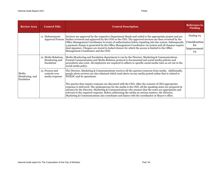| <b>Review Area</b>                     | <b>Control Title</b>                                 | <b>Control Description</b>                                                                                                                                                                                                                                                                                                                                                                                                                                                                                                                                                                   | <b>Reference to</b><br><b>Finding</b>                     |
|----------------------------------------|------------------------------------------------------|----------------------------------------------------------------------------------------------------------------------------------------------------------------------------------------------------------------------------------------------------------------------------------------------------------------------------------------------------------------------------------------------------------------------------------------------------------------------------------------------------------------------------------------------------------------------------------------------|-----------------------------------------------------------|
|                                        | 11. Disbursement                                     | Invoices are approved by the respective Department Heads and coded to the appropriate project and are<br>Approval Process further reviewed and approved by the COO or the CEO. The approved invoices are then reviewed by the<br>Office Management Coordinator in terms of authorization before inputting into the system. Subsequently<br>a payment cheque is generated by the Office Management Coordinator via system and all cheques require<br>dual signature. Cheques are stored in locked drawer for which the access is limited to the Office<br>Management Coordinator and the COO. | Finding $#5$<br>Consideration<br>for<br>Improvement<br>#2 |
| Media<br>Monitoring, and<br>Escalation | 12. Media Relations,<br>Monitoring and<br>Escalation | Media Monitoring and Escalation department is run by the Director, Marketing & Communications.<br>Formal Communication and Media Relation protocol is documented and social media policies and<br>procedures also exist. All employees are required to adhere to specific social media rules as set out in the<br>social media policy.                                                                                                                                                                                                                                                       |                                                           |
|                                        | 13. Process and<br>controls over<br>media response   | The Director, Marketing & Communications receives all the queries/concerns from media. Additionally,<br>google alerts services are also obtained which send alerts on any media posted online that is related to<br>WEEDC and its operations.                                                                                                                                                                                                                                                                                                                                                |                                                           |
|                                        |                                                      | The queries that require response are discussed with the CEO. After the consent of CEO appropriate<br>response is delivered. The spokesperson for the media is the CEO, all the speaking notes are prepared in<br>advance by the Director, Marketing & Communications who ensures that the notes are appropriate and<br>relevant to the required response. Before addressing the media on serious matters, the Director,<br>Marketing & Communications also coordinate and liaises with the coordinator at Mayor's office.                                                                   |                                                           |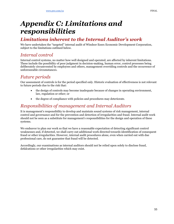## *Appendix C: Limitations and responsibilities*

### *Limitations inherent to the Internal Auditor's work*

We have undertaken the "targeted" internal audit of Windsor Essex Economic Development Corporation, subject to the limitations outlined below.

### *Internal control*

Internal control systems, no matter how well designed and operated, are affected by inherent limitations. These include the possibility of poor judgment in decision-making, human error, control processes being deliberately circumvented by employees and others, management overriding controls and the occurrence of unforeseeable circumstances.

### *Future periods*

Our assessment of controls is for the period specified only. Historic evaluation of effectiveness is not relevant to future periods due to the risk that:

- the design of controls may become inadequate because of changes in operating environment, law, regulation or other; or
- the degree of compliance with policies and procedures may deteriorate.

### *Responsibilities of management and Internal Auditors*

It is management's responsibility to develop and maintain sound systems of risk management, internal control and governance and for the prevention and detection of irregularities and fraud. Internal audit work should not be seen as a substitute for management's responsibilities for the design and operation of these systems.

We endeavor to plan our work so that we have a reasonable expectation of detecting significant control weaknesses and, if detected, we shall carry out additional work directed towards identification of consequent fraud or other irregularities. However, internal audit procedures alone, even when carried out with due professional care, do not guarantee that fraud will be detected.

Accordingly, our examinations as internal auditors should not be relied upon solely to disclose fraud, defalcations or other irregularities which may exist.